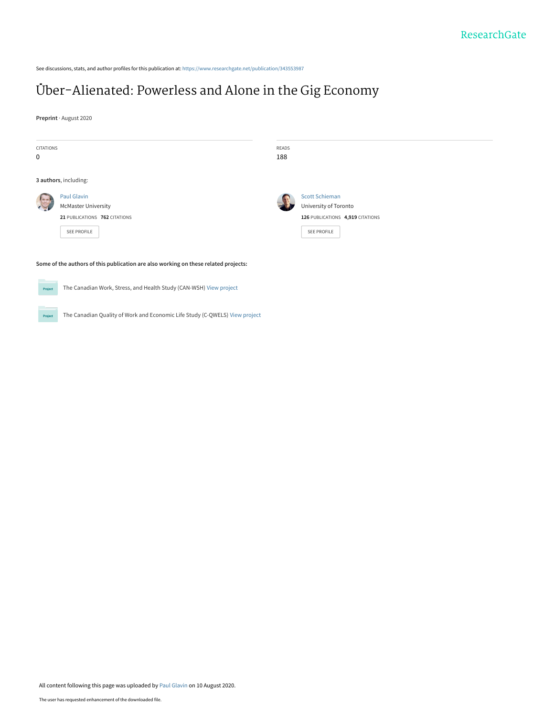See discussions, stats, and author profiles for this publication at: [https://www.researchgate.net/publication/343553987](https://www.researchgate.net/publication/343553987_Uber-Alienated_Powerless_and_Alone_in_the_Gig_Economy?enrichId=rgreq-bfae97dd330949803ea00f1a614759c6-XXX&enrichSource=Y292ZXJQYWdlOzM0MzU1Mzk4NztBUzo5MjI5NjA4NTI0NDcyMzNAMTU5NzA2MjQyMzkxNw%3D%3D&el=1_x_2&_esc=publicationCoverPdf)

Project The Canadian Quality of Work and Economic Life Study (C-QWELS) [View project](https://www.researchgate.net/project/The-Canadian-Quality-of-Work-and-Economic-Life-Study-C-QWELS?enrichId=rgreq-bfae97dd330949803ea00f1a614759c6-XXX&enrichSource=Y292ZXJQYWdlOzM0MzU1Mzk4NztBUzo5MjI5NjA4NTI0NDcyMzNAMTU5NzA2MjQyMzkxNw%3D%3D&el=1_x_9&_esc=publicationCoverPdf)

# [Über-Alienated: Powerless and Alone in the Gig Economy](https://www.researchgate.net/publication/343553987_Uber-Alienated_Powerless_and_Alone_in_the_Gig_Economy?enrichId=rgreq-bfae97dd330949803ea00f1a614759c6-XXX&enrichSource=Y292ZXJQYWdlOzM0MzU1Mzk4NztBUzo5MjI5NjA4NTI0NDcyMzNAMTU5NzA2MjQyMzkxNw%3D%3D&el=1_x_3&_esc=publicationCoverPdf)

**Preprint** · August 2020

| CITATIONS          |                                                                                     | READS |                                  |
|--------------------|-------------------------------------------------------------------------------------|-------|----------------------------------|
| 0                  |                                                                                     | 188   |                                  |
|                    |                                                                                     |       |                                  |
|                    | 3 authors, including:                                                               |       |                                  |
|                    | Paul Glavin                                                                         |       | <b>Scott Schieman</b>            |
|                    | <b>McMaster University</b>                                                          |       | University of Toronto            |
|                    | 21 PUBLICATIONS 762 CITATIONS                                                       |       | 126 PUBLICATIONS 4,919 CITATIONS |
|                    | SEE PROFILE                                                                         |       | SEE PROFILE                      |
|                    |                                                                                     |       |                                  |
|                    |                                                                                     |       |                                  |
|                    | Some of the authors of this publication are also working on these related projects: |       |                                  |
|                    |                                                                                     |       |                                  |
| Project            | The Canadian Work, Stress, and Health Study (CAN-WSH) View project                  |       |                                  |
|                    |                                                                                     |       |                                  |
| the control of the |                                                                                     |       |                                  |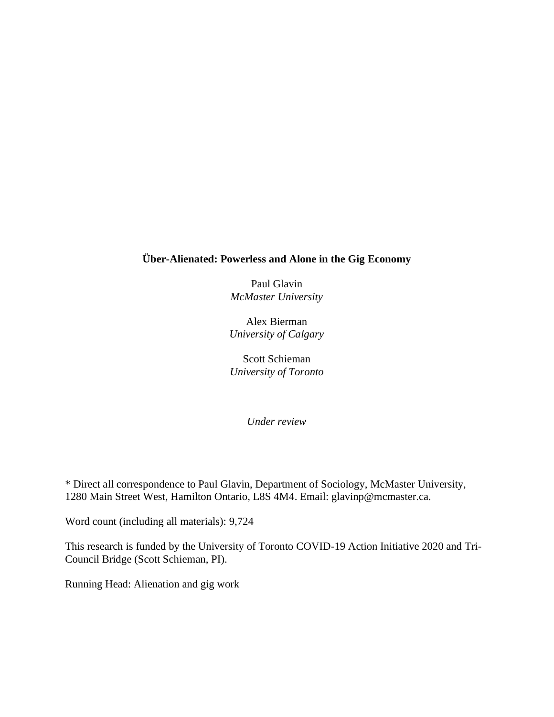# **Über-Alienated: Powerless and Alone in the Gig Economy**

Paul Glavin *McMaster University*

Alex Bierman *University of Calgary*

Scott Schieman *University of Toronto*

*Under review*

\* Direct all correspondence to Paul Glavin, Department of Sociology, McMaster University, 1280 Main Street West, Hamilton Ontario, L8S 4M4. Email: glavinp@mcmaster.ca.

Word count (including all materials): 9,724

This research is funded by the University of Toronto COVID-19 Action Initiative 2020 and Tri-Council Bridge (Scott Schieman, PI).

Running Head: Alienation and gig work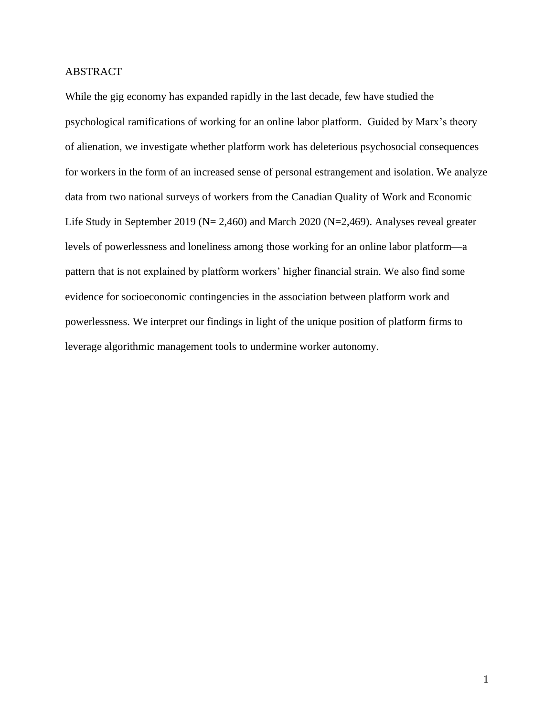# ABSTRACT

While the gig economy has expanded rapidly in the last decade, few have studied the psychological ramifications of working for an online labor platform. Guided by Marx's theory of alienation, we investigate whether platform work has deleterious psychosocial consequences for workers in the form of an increased sense of personal estrangement and isolation. We analyze data from two national surveys of workers from the Canadian Quality of Work and Economic Life Study in September 2019 (N= 2,460) and March 2020 (N=2,469). Analyses reveal greater levels of powerlessness and loneliness among those working for an online labor platform—a pattern that is not explained by platform workers' higher financial strain. We also find some evidence for socioeconomic contingencies in the association between platform work and powerlessness. We interpret our findings in light of the unique position of platform firms to leverage algorithmic management tools to undermine worker autonomy.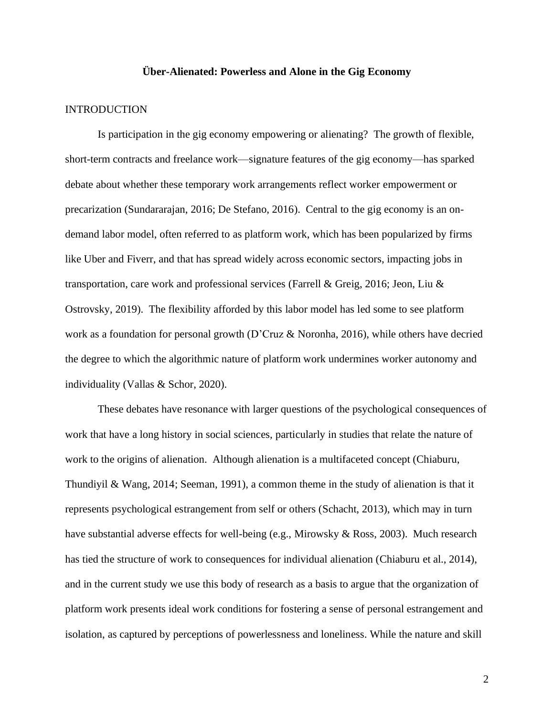# **Über-Alienated: Powerless and Alone in the Gig Economy**

#### INTRODUCTION

Is participation in the gig economy empowering or alienating? The growth of flexible, short-term contracts and freelance work—signature features of the gig economy—has sparked debate about whether these temporary work arrangements reflect worker empowerment or precarization (Sundararajan, 2016; De Stefano, 2016). Central to the gig economy is an ondemand labor model, often referred to as platform work, which has been popularized by firms like Uber and Fiverr, and that has spread widely across economic sectors, impacting jobs in transportation, care work and professional services (Farrell & Greig, 2016; Jeon, Liu & Ostrovsky, 2019). The flexibility afforded by this labor model has led some to see platform work as a foundation for personal growth (D'Cruz & Noronha, 2016), while others have decried the degree to which the algorithmic nature of platform work undermines worker autonomy and individuality (Vallas & Schor, 2020).

These debates have resonance with larger questions of the psychological consequences of work that have a long history in social sciences, particularly in studies that relate the nature of work to the origins of alienation. Although alienation is a multifaceted concept (Chiaburu, Thundiyil & Wang, 2014; Seeman, 1991), a common theme in the study of alienation is that it represents psychological estrangement from self or others (Schacht, 2013), which may in turn have substantial adverse effects for well-being (e.g., Mirowsky & Ross, 2003). Much research has tied the structure of work to consequences for individual alienation (Chiaburu et al., 2014), and in the current study we use this body of research as a basis to argue that the organization of platform work presents ideal work conditions for fostering a sense of personal estrangement and isolation, as captured by perceptions of powerlessness and loneliness. While the nature and skill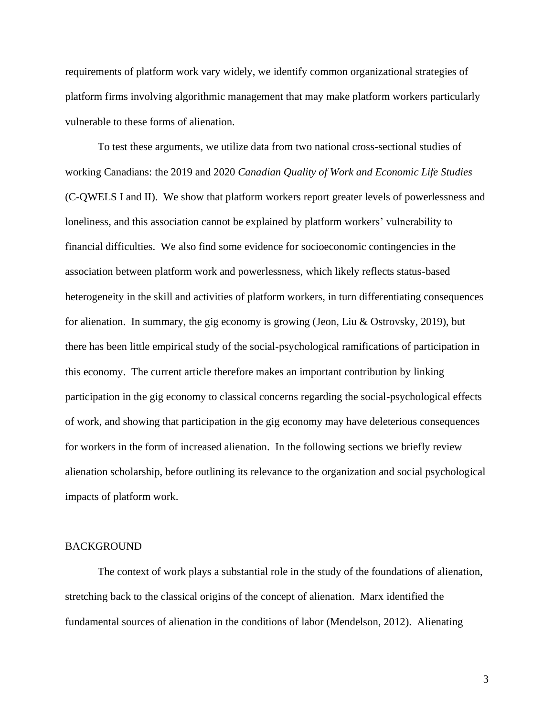requirements of platform work vary widely, we identify common organizational strategies of platform firms involving algorithmic management that may make platform workers particularly vulnerable to these forms of alienation.

To test these arguments, we utilize data from two national cross-sectional studies of working Canadians: the 2019 and 2020 *Canadian Quality of Work and Economic Life Studies* (C-QWELS I and II). We show that platform workers report greater levels of powerlessness and loneliness, and this association cannot be explained by platform workers' vulnerability to financial difficulties. We also find some evidence for socioeconomic contingencies in the association between platform work and powerlessness, which likely reflects status-based heterogeneity in the skill and activities of platform workers, in turn differentiating consequences for alienation. In summary, the gig economy is growing (Jeon, Liu & Ostrovsky, 2019), but there has been little empirical study of the social-psychological ramifications of participation in this economy. The current article therefore makes an important contribution by linking participation in the gig economy to classical concerns regarding the social-psychological effects of work, and showing that participation in the gig economy may have deleterious consequences for workers in the form of increased alienation. In the following sections we briefly review alienation scholarship, before outlining its relevance to the organization and social psychological impacts of platform work.

#### BACKGROUND

The context of work plays a substantial role in the study of the foundations of alienation, stretching back to the classical origins of the concept of alienation. Marx identified the fundamental sources of alienation in the conditions of labor (Mendelson, 2012). Alienating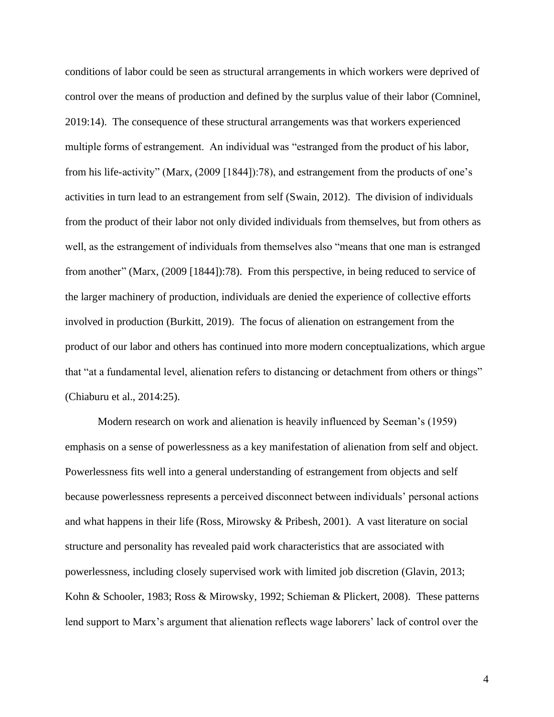conditions of labor could be seen as structural arrangements in which workers were deprived of control over the means of production and defined by the surplus value of their labor (Comninel, 2019:14). The consequence of these structural arrangements was that workers experienced multiple forms of estrangement. An individual was "estranged from the product of his labor, from his life-activity" (Marx, (2009 [1844]):78), and estrangement from the products of one's activities in turn lead to an estrangement from self (Swain, 2012). The division of individuals from the product of their labor not only divided individuals from themselves, but from others as well, as the estrangement of individuals from themselves also "means that one man is estranged from another" (Marx, (2009 [1844]):78). From this perspective, in being reduced to service of the larger machinery of production, individuals are denied the experience of collective efforts involved in production (Burkitt, 2019). The focus of alienation on estrangement from the product of our labor and others has continued into more modern conceptualizations, which argue that "at a fundamental level, alienation refers to distancing or detachment from others or things" (Chiaburu et al., 2014:25).

Modern research on work and alienation is heavily influenced by Seeman's (1959) emphasis on a sense of powerlessness as a key manifestation of alienation from self and object. Powerlessness fits well into a general understanding of estrangement from objects and self because powerlessness represents a perceived disconnect between individuals' personal actions and what happens in their life (Ross, Mirowsky & Pribesh, 2001). A vast literature on social structure and personality has revealed paid work characteristics that are associated with powerlessness, including closely supervised work with limited job discretion (Glavin, 2013; Kohn & Schooler, 1983; Ross & Mirowsky, 1992; Schieman & Plickert, 2008). These patterns lend support to Marx's argument that alienation reflects wage laborers' lack of control over the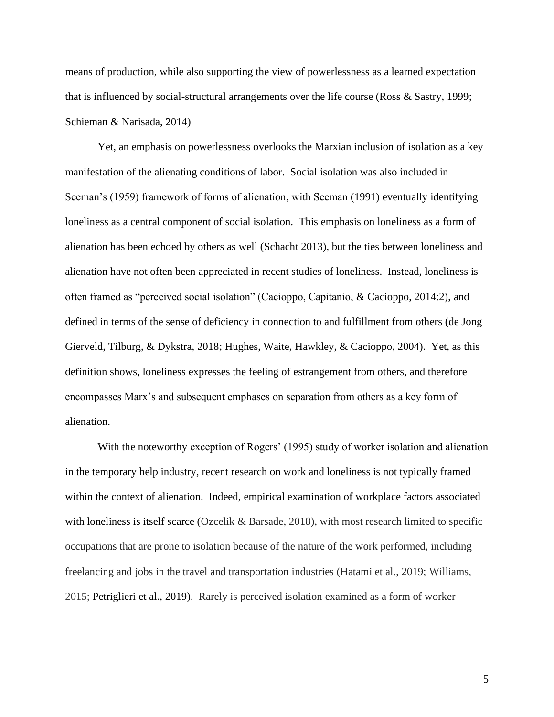means of production, while also supporting the view of powerlessness as a learned expectation that is influenced by social-structural arrangements over the life course (Ross & Sastry, 1999; Schieman & Narisada, 2014)

Yet, an emphasis on powerlessness overlooks the Marxian inclusion of isolation as a key manifestation of the alienating conditions of labor. Social isolation was also included in Seeman's (1959) framework of forms of alienation, with Seeman (1991) eventually identifying loneliness as a central component of social isolation. This emphasis on loneliness as a form of alienation has been echoed by others as well (Schacht 2013), but the ties between loneliness and alienation have not often been appreciated in recent studies of loneliness. Instead, loneliness is often framed as "perceived social isolation" (Cacioppo, Capitanio, & Cacioppo, 2014:2), and defined in terms of the sense of deficiency in connection to and fulfillment from others (de Jong Gierveld, Tilburg, & Dykstra, 2018; Hughes, Waite, Hawkley, & Cacioppo, 2004). Yet, as this definition shows, loneliness expresses the feeling of estrangement from others, and therefore encompasses Marx's and subsequent emphases on separation from others as a key form of alienation.

With the noteworthy exception of Rogers' (1995) study of worker isolation and alienation in the temporary help industry, recent research on work and loneliness is not typically framed within the context of alienation. Indeed, empirical examination of workplace factors associated with loneliness is itself scarce (Ozcelik & Barsade, 2018), with most research limited to specific occupations that are prone to isolation because of the nature of the work performed, including freelancing and jobs in the travel and transportation industries (Hatami et al., 2019; Williams, 2015; Petriglieri et al., 2019). Rarely is perceived isolation examined as a form of worker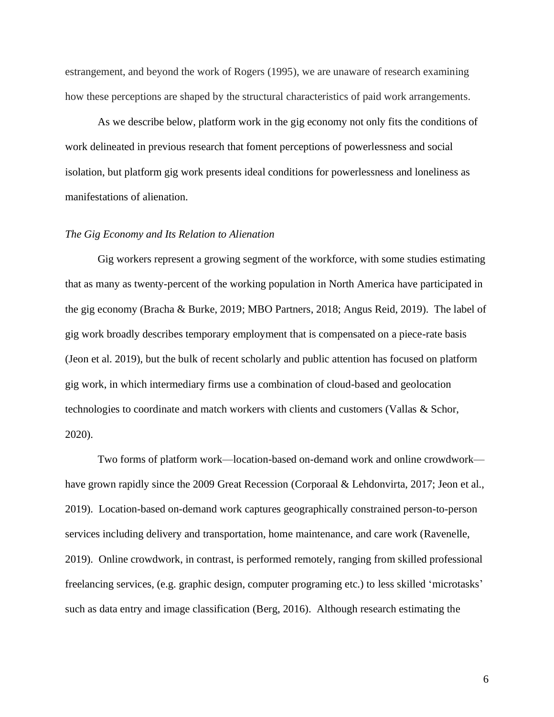estrangement, and beyond the work of Rogers (1995), we are unaware of research examining how these perceptions are shaped by the structural characteristics of paid work arrangements.

As we describe below, platform work in the gig economy not only fits the conditions of work delineated in previous research that foment perceptions of powerlessness and social isolation, but platform gig work presents ideal conditions for powerlessness and loneliness as manifestations of alienation.

#### *The Gig Economy and Its Relation to Alienation*

Gig workers represent a growing segment of the workforce, with some studies estimating that as many as twenty-percent of the working population in North America have participated in the gig economy (Bracha & Burke, 2019; MBO Partners, 2018; Angus Reid, 2019). The label of gig work broadly describes temporary employment that is compensated on a piece-rate basis (Jeon et al. 2019), but the bulk of recent scholarly and public attention has focused on platform gig work, in which intermediary firms use a combination of cloud-based and geolocation technologies to coordinate and match workers with clients and customers (Vallas & Schor, 2020).

Two forms of platform work—location-based on-demand work and online crowdwork have grown rapidly since the 2009 Great Recession (Corporaal & Lehdonvirta, 2017; Jeon et al., 2019). Location-based on-demand work captures geographically constrained person-to-person services including delivery and transportation, home maintenance, and care work (Ravenelle, 2019). Online crowdwork, in contrast, is performed remotely, ranging from skilled professional freelancing services, (e.g. graphic design, computer programing etc.) to less skilled 'microtasks' such as data entry and image classification (Berg, 2016). Although research estimating the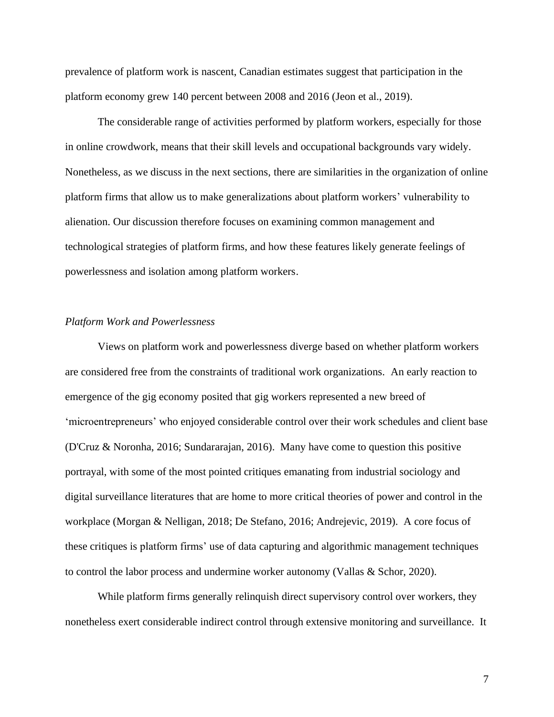prevalence of platform work is nascent, Canadian estimates suggest that participation in the platform economy grew 140 percent between 2008 and 2016 (Jeon et al., 2019).

The considerable range of activities performed by platform workers, especially for those in online crowdwork, means that their skill levels and occupational backgrounds vary widely. Nonetheless, as we discuss in the next sections, there are similarities in the organization of online platform firms that allow us to make generalizations about platform workers' vulnerability to alienation. Our discussion therefore focuses on examining common management and technological strategies of platform firms, and how these features likely generate feelings of powerlessness and isolation among platform workers.

#### *Platform Work and Powerlessness*

Views on platform work and powerlessness diverge based on whether platform workers are considered free from the constraints of traditional work organizations. An early reaction to emergence of the gig economy posited that gig workers represented a new breed of 'microentrepreneurs' who enjoyed considerable control over their work schedules and client base (D'Cruz & Noronha, 2016; Sundararajan, 2016). Many have come to question this positive portrayal, with some of the most pointed critiques emanating from industrial sociology and digital surveillance literatures that are home to more critical theories of power and control in the workplace (Morgan & Nelligan, 2018; De Stefano, 2016; Andrejevic, 2019). A core focus of these critiques is platform firms' use of data capturing and algorithmic management techniques to control the labor process and undermine worker autonomy (Vallas & Schor, 2020).

While platform firms generally relinquish direct supervisory control over workers, they nonetheless exert considerable indirect control through extensive monitoring and surveillance. It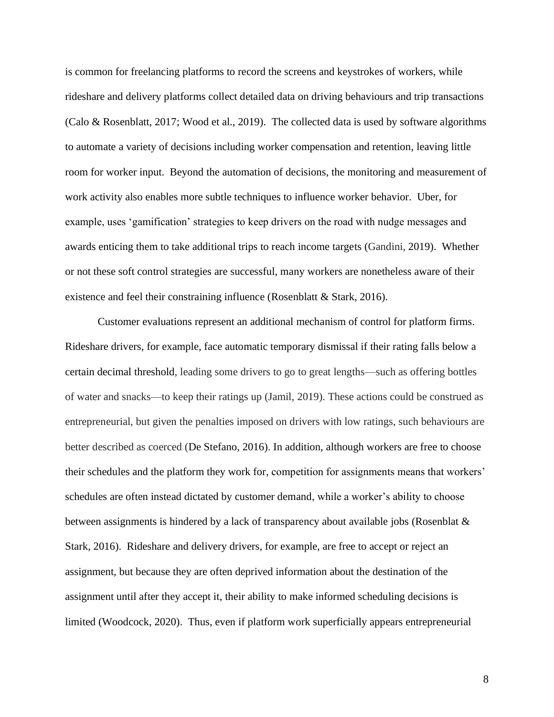is common for freelancing platforms to record the screens and keystrokes of workers, while rideshare and delivery platforms collect detailed data on driving behaviours and trip transactions (Calo & Rosenblatt, 2017; Wood et al., 2019). The collected data is used by software algorithms to automate a variety of decisions including worker compensation and retention, leaving little room for worker input. Beyond the automation of decisions, the monitoring and measurement of work activity also enables more subtle techniques to influence worker behavior. Uber, for example, uses 'gamification' strategies to keep drivers on the road with nudge messages and awards enticing them to take additional trips to reach income targets (Gandini, 2019). Whether or not these soft control strategies are successful, many workers are nonetheless aware of their existence and feel their constraining influence (Rosenblatt & Stark, 2016).

Customer evaluations represent an additional mechanism of control for platform firms. Rideshare drivers, for example, face automatic temporary dismissal if their rating falls below a certain decimal threshold, leading some drivers to go to great lengths—such as offering bottles of water and snacks—to keep their ratings up (Jamil, 2019). These actions could be construed as entrepreneurial, but given the penalties imposed on drivers with low ratings, such behaviours are better described as coerced (De Stefano, 2016). In addition, although workers are free to choose their schedules and the platform they work for, competition for assignments means that workers' schedules are often instead dictated by customer demand, while a worker's ability to choose between assignments is hindered by a lack of transparency about available jobs (Rosenblat & Stark, 2016). Rideshare and delivery drivers, for example, are free to accept or reject an assignment, but because they are often deprived information about the destination of the assignment until after they accept it, their ability to make informed scheduling decisions is limited (Woodcock, 2020). Thus, even if platform work superficially appears entrepreneurial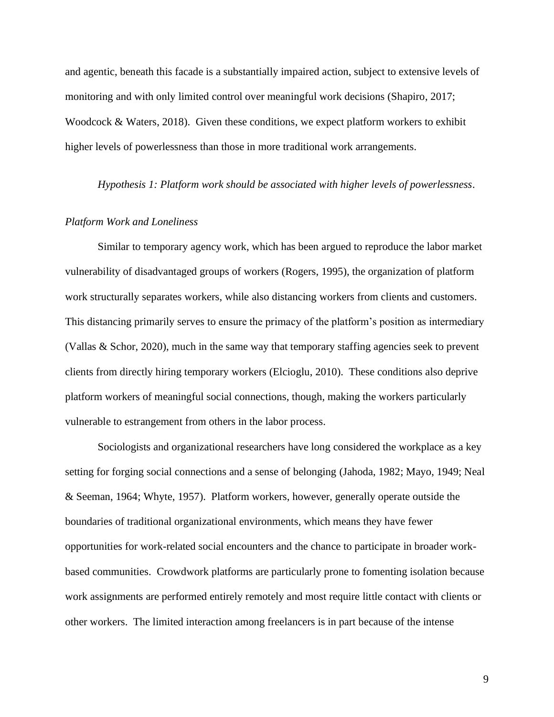and agentic, beneath this facade is a substantially impaired action, subject to extensive levels of monitoring and with only limited control over meaningful work decisions (Shapiro, 2017; Woodcock & Waters, 2018). Given these conditions, we expect platform workers to exhibit higher levels of powerlessness than those in more traditional work arrangements.

*Hypothesis 1: Platform work should be associated with higher levels of powerlessness.*

# *Platform Work and Loneliness*

Similar to temporary agency work, which has been argued to reproduce the labor market vulnerability of disadvantaged groups of workers (Rogers, 1995), the organization of platform work structurally separates workers, while also distancing workers from clients and customers. This distancing primarily serves to ensure the primacy of the platform's position as intermediary (Vallas & Schor, 2020), much in the same way that temporary staffing agencies seek to prevent clients from directly hiring temporary workers (Elcioglu, 2010). These conditions also deprive platform workers of meaningful social connections, though, making the workers particularly vulnerable to estrangement from others in the labor process.

Sociologists and organizational researchers have long considered the workplace as a key setting for forging social connections and a sense of belonging (Jahoda, 1982; Mayo, 1949; Neal & Seeman, 1964; Whyte, 1957). Platform workers, however, generally operate outside the boundaries of traditional organizational environments, which means they have fewer opportunities for work-related social encounters and the chance to participate in broader workbased communities. Crowdwork platforms are particularly prone to fomenting isolation because work assignments are performed entirely remotely and most require little contact with clients or other workers. The limited interaction among freelancers is in part because of the intense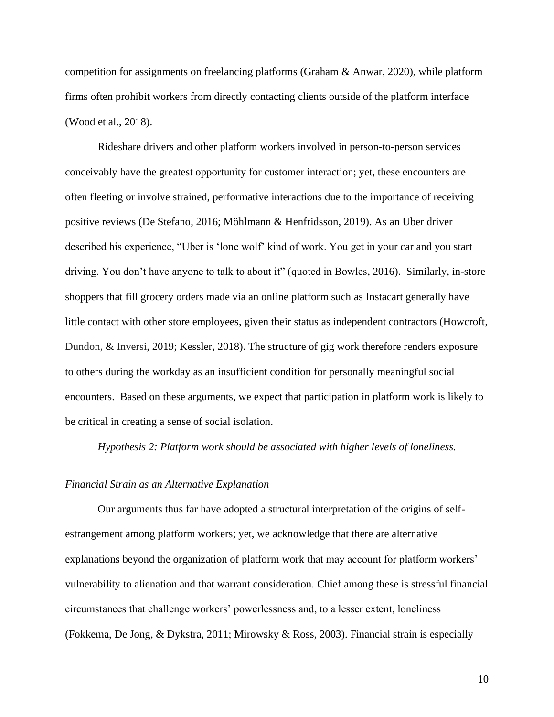competition for assignments on freelancing platforms (Graham & Anwar, 2020), while platform firms often prohibit workers from directly contacting clients outside of the platform interface (Wood et al., 2018).

Rideshare drivers and other platform workers involved in person-to-person services conceivably have the greatest opportunity for customer interaction; yet, these encounters are often fleeting or involve strained, performative interactions due to the importance of receiving positive reviews (De Stefano, 2016; Möhlmann & Henfridsson, 2019). As an Uber driver described his experience, "Uber is 'lone wolf' kind of work. You get in your car and you start driving. You don't have anyone to talk to about it" (quoted in Bowles, 2016). Similarly, in-store shoppers that fill grocery orders made via an online platform such as Instacart generally have little contact with other store employees, given their status as independent contractors (Howcroft, Dundon, & Inversi, 2019; Kessler, 2018). The structure of gig work therefore renders exposure to others during the workday as an insufficient condition for personally meaningful social encounters. Based on these arguments, we expect that participation in platform work is likely to be critical in creating a sense of social isolation.

*Hypothesis 2: Platform work should be associated with higher levels of loneliness.* 

#### *Financial Strain as an Alternative Explanation*

Our arguments thus far have adopted a structural interpretation of the origins of selfestrangement among platform workers; yet, we acknowledge that there are alternative explanations beyond the organization of platform work that may account for platform workers' vulnerability to alienation and that warrant consideration. Chief among these is stressful financial circumstances that challenge workers' powerlessness and, to a lesser extent, loneliness (Fokkema, De Jong, & Dykstra, 2011; Mirowsky & Ross, 2003). Financial strain is especially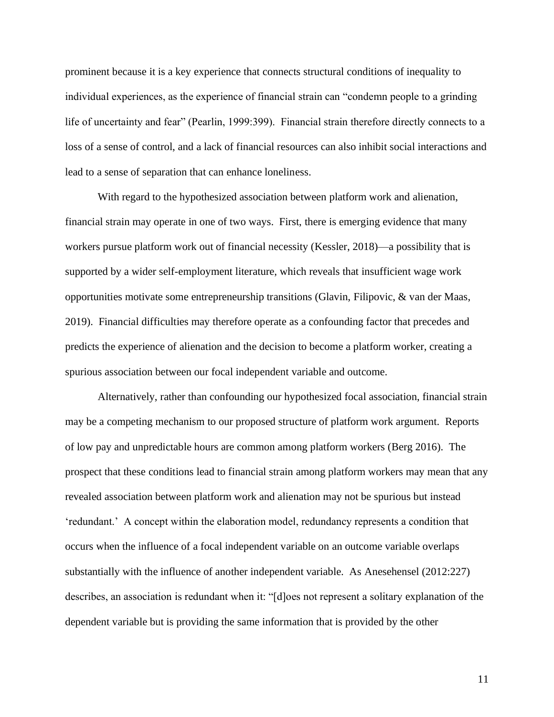prominent because it is a key experience that connects structural conditions of inequality to individual experiences, as the experience of financial strain can "condemn people to a grinding life of uncertainty and fear" (Pearlin, 1999:399). Financial strain therefore directly connects to a loss of a sense of control, and a lack of financial resources can also inhibit social interactions and lead to a sense of separation that can enhance loneliness.

With regard to the hypothesized association between platform work and alienation, financial strain may operate in one of two ways. First, there is emerging evidence that many workers pursue platform work out of financial necessity (Kessler, 2018)—a possibility that is supported by a wider self-employment literature, which reveals that insufficient wage work opportunities motivate some entrepreneurship transitions (Glavin, Filipovic, & van der Maas, 2019). Financial difficulties may therefore operate as a confounding factor that precedes and predicts the experience of alienation and the decision to become a platform worker, creating a spurious association between our focal independent variable and outcome.

Alternatively, rather than confounding our hypothesized focal association, financial strain may be a competing mechanism to our proposed structure of platform work argument. Reports of low pay and unpredictable hours are common among platform workers (Berg 2016). The prospect that these conditions lead to financial strain among platform workers may mean that any revealed association between platform work and alienation may not be spurious but instead 'redundant.' A concept within the elaboration model, redundancy represents a condition that occurs when the influence of a focal independent variable on an outcome variable overlaps substantially with the influence of another independent variable. As Anesehensel (2012:227) describes, an association is redundant when it: "[d]oes not represent a solitary explanation of the dependent variable but is providing the same information that is provided by the other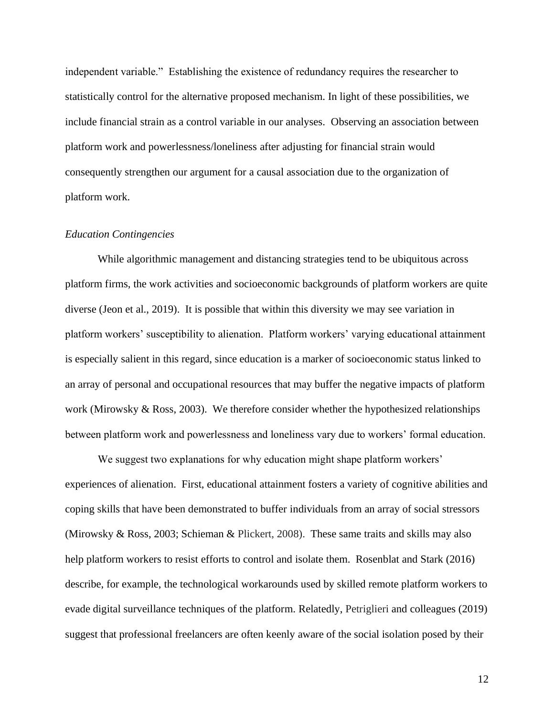independent variable." Establishing the existence of redundancy requires the researcher to statistically control for the alternative proposed mechanism. In light of these possibilities, we include financial strain as a control variable in our analyses. Observing an association between platform work and powerlessness/loneliness after adjusting for financial strain would consequently strengthen our argument for a causal association due to the organization of platform work.

## *Education Contingencies*

While algorithmic management and distancing strategies tend to be ubiquitous across platform firms, the work activities and socioeconomic backgrounds of platform workers are quite diverse (Jeon et al., 2019). It is possible that within this diversity we may see variation in platform workers' susceptibility to alienation. Platform workers' varying educational attainment is especially salient in this regard, since education is a marker of socioeconomic status linked to an array of personal and occupational resources that may buffer the negative impacts of platform work (Mirowsky & Ross, 2003). We therefore consider whether the hypothesized relationships between platform work and powerlessness and loneliness vary due to workers' formal education.

We suggest two explanations for why education might shape platform workers' experiences of alienation. First, educational attainment fosters a variety of cognitive abilities and coping skills that have been demonstrated to buffer individuals from an array of social stressors (Mirowsky & Ross, 2003; Schieman & Plickert, 2008). These same traits and skills may also help platform workers to resist efforts to control and isolate them. Rosenblat and Stark (2016) describe, for example, the technological workarounds used by skilled remote platform workers to evade digital surveillance techniques of the platform. Relatedly, Petriglieri and colleagues (2019) suggest that professional freelancers are often keenly aware of the social isolation posed by their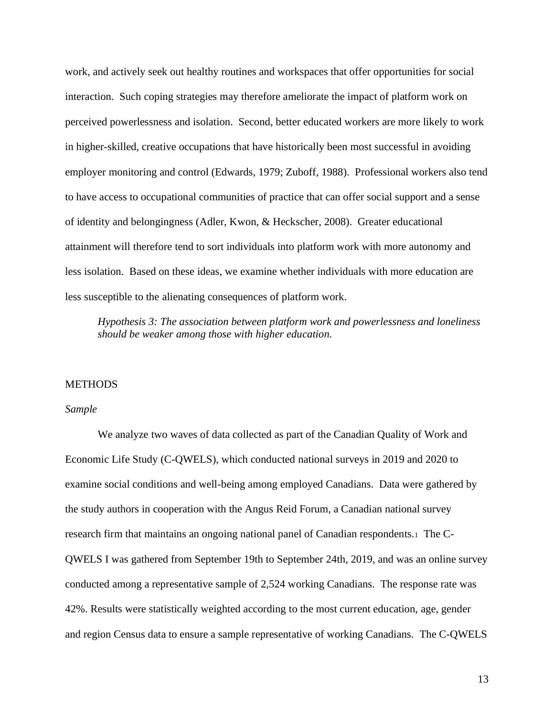work, and actively seek out healthy routines and workspaces that offer opportunities for social interaction. Such coping strategies may therefore ameliorate the impact of platform work on perceived powerlessness and isolation. Second, better educated workers are more likely to work in higher-skilled, creative occupations that have historically been most successful in avoiding employer monitoring and control (Edwards, 1979; Zuboff, 1988). Professional workers also tend to have access to occupational communities of practice that can offer social support and a sense of identity and belongingness (Adler, Kwon, & Heckscher, 2008). Greater educational attainment will therefore tend to sort individuals into platform work with more autonomy and less isolation. Based on these ideas, we examine whether individuals with more education are less susceptible to the alienating consequences of platform work.

*Hypothesis 3: The association between platform work and powerlessness and loneliness should be weaker among those with higher education.*

# **METHODS**

#### *Sample*

We analyze two waves of data collected as part of the Canadian Quality of Work and Economic Life Study (C-QWELS), which conducted national surveys in 2019 and 2020 to examine social conditions and well-being among employed Canadians. Data were gathered by the study authors in cooperation with the Angus Reid Forum, a Canadian national survey research firm that maintains an ongoing national panel of Canadian respondents.<sup>1</sup> The C-QWELS I was gathered from September 19th to September 24th, 2019, and was an online survey conducted among a representative sample of 2,524 working Canadians. The response rate was 42%. Results were statistically weighted according to the most current education, age, gender and region Census data to ensure a sample representative of working Canadians. The C-QWELS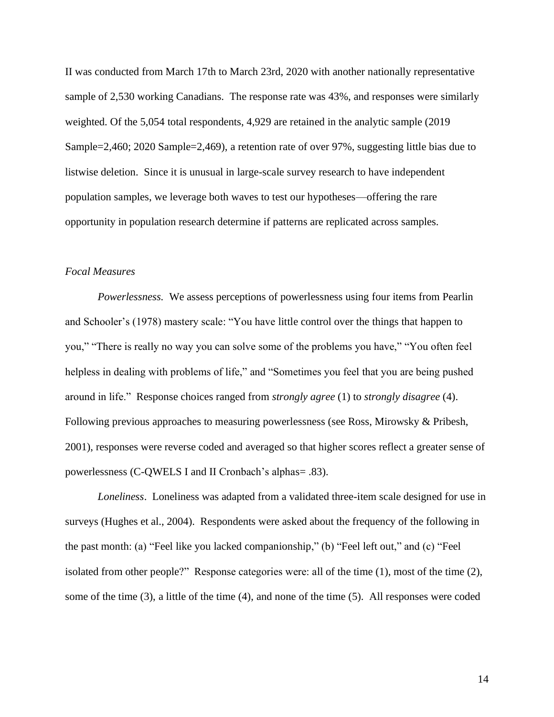II was conducted from March 17th to March 23rd, 2020 with another nationally representative sample of 2,530 working Canadians. The response rate was 43%, and responses were similarly weighted. Of the 5,054 total respondents, 4,929 are retained in the analytic sample (2019) Sample=2,460; 2020 Sample=2,469), a retention rate of over 97%, suggesting little bias due to listwise deletion. Since it is unusual in large-scale survey research to have independent population samples, we leverage both waves to test our hypotheses—offering the rare opportunity in population research determine if patterns are replicated across samples.

# *Focal Measures*

*Powerlessness.* We assess perceptions of powerlessness using four items from Pearlin and Schooler's (1978) mastery scale: "You have little control over the things that happen to you," "There is really no way you can solve some of the problems you have," "You often feel helpless in dealing with problems of life," and "Sometimes you feel that you are being pushed around in life." Response choices ranged from *strongly agree* (1) to *strongly disagree* (4). Following previous approaches to measuring powerlessness (see Ross, Mirowsky & Pribesh, 2001), responses were reverse coded and averaged so that higher scores reflect a greater sense of powerlessness (C-QWELS I and II Cronbach's alphas= .83).

*Loneliness*. Loneliness was adapted from a validated three-item scale designed for use in surveys (Hughes et al., 2004). Respondents were asked about the frequency of the following in the past month: (a) "Feel like you lacked companionship," (b) "Feel left out," and (c) "Feel isolated from other people?" Response categories were: all of the time (1), most of the time (2), some of the time (3), a little of the time (4), and none of the time (5). All responses were coded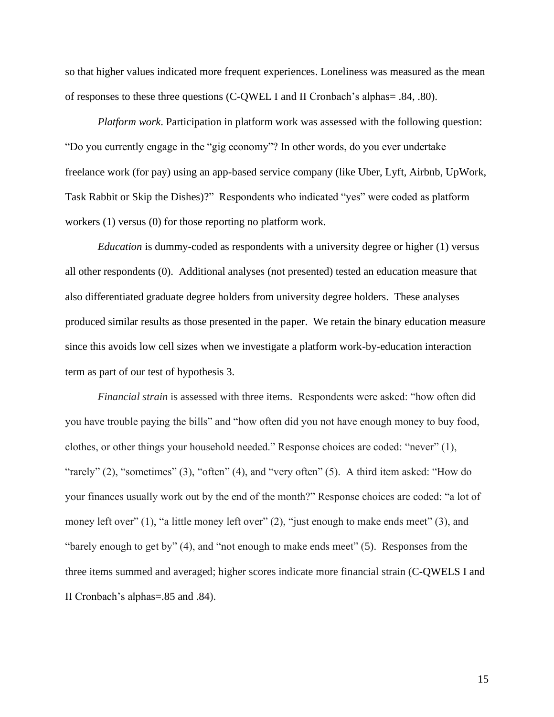so that higher values indicated more frequent experiences. Loneliness was measured as the mean of responses to these three questions (C-QWEL I and II Cronbach's alphas= .84, .80).

*Platform work*. Participation in platform work was assessed with the following question: "Do you currently engage in the "gig economy"? In other words, do you ever undertake freelance work (for pay) using an app-based service company (like Uber, Lyft, Airbnb, UpWork, Task Rabbit or Skip the Dishes)?" Respondents who indicated "yes" were coded as platform workers (1) versus (0) for those reporting no platform work.

*Education* is dummy-coded as respondents with a university degree or higher (1) versus all other respondents (0). Additional analyses (not presented) tested an education measure that also differentiated graduate degree holders from university degree holders. These analyses produced similar results as those presented in the paper. We retain the binary education measure since this avoids low cell sizes when we investigate a platform work-by-education interaction term as part of our test of hypothesis 3.

*Financial strain* is assessed with three items. Respondents were asked: "how often did you have trouble paying the bills" and "how often did you not have enough money to buy food, clothes, or other things your household needed." Response choices are coded: "never" (1), "rarely" (2), "sometimes" (3), "often" (4), and "very often" (5). A third item asked: "How do your finances usually work out by the end of the month?" Response choices are coded: "a lot of money left over" (1), "a little money left over" (2), "just enough to make ends meet" (3), and "barely enough to get by" (4), and "not enough to make ends meet" (5). Responses from the three items summed and averaged; higher scores indicate more financial strain (C-QWELS I and II Cronbach's alphas=.85 and .84).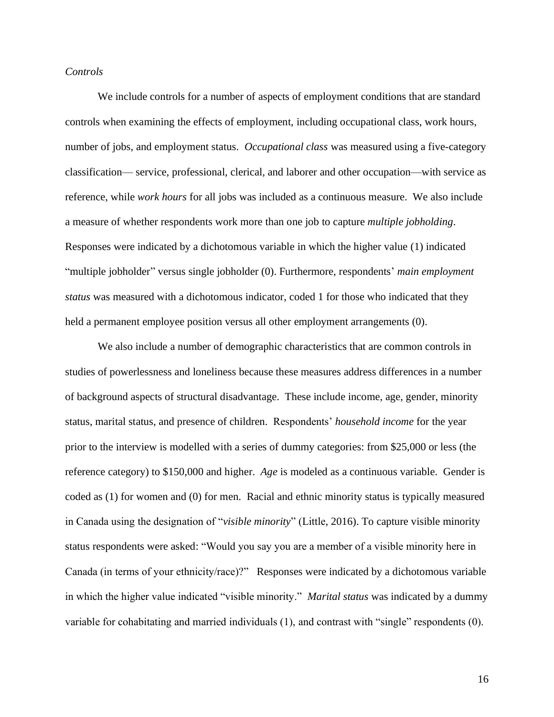## *Controls*

We include controls for a number of aspects of employment conditions that are standard controls when examining the effects of employment, including occupational class, work hours, number of jobs, and employment status. *Occupational class* was measured using a five-category classification— service, professional, clerical, and laborer and other occupation—with service as reference, while *work hours* for all jobs was included as a continuous measure. We also include a measure of whether respondents work more than one job to capture *multiple jobholding*. Responses were indicated by a dichotomous variable in which the higher value (1) indicated "multiple jobholder" versus single jobholder (0). Furthermore, respondents' *main employment status* was measured with a dichotomous indicator, coded 1 for those who indicated that they held a permanent employee position versus all other employment arrangements (0).

We also include a number of demographic characteristics that are common controls in studies of powerlessness and loneliness because these measures address differences in a number of background aspects of structural disadvantage. These include income, age, gender, minority status, marital status, and presence of children. Respondents' *household income* for the year prior to the interview is modelled with a series of dummy categories: from \$25,000 or less (the reference category) to \$150,000 and higher. *Age* is modeled as a continuous variable. Gender is coded as (1) for women and (0) for men. Racial and ethnic minority status is typically measured in Canada using the designation of "*visible minority*" (Little, 2016). To capture visible minority status respondents were asked: "Would you say you are a member of a visible minority here in Canada (in terms of your ethnicity/race)?" Responses were indicated by a dichotomous variable in which the higher value indicated "visible minority." *Marital status* was indicated by a dummy variable for cohabitating and married individuals (1), and contrast with "single" respondents (0).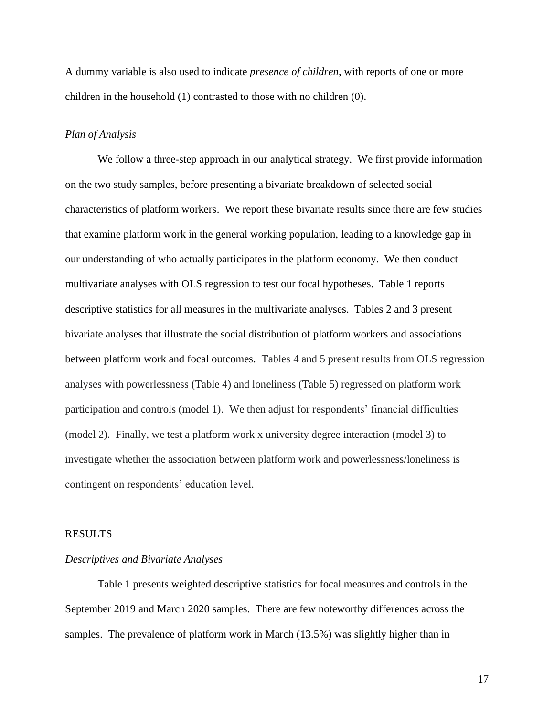A dummy variable is also used to indicate *presence of children*, with reports of one or more children in the household (1) contrasted to those with no children (0).

# *Plan of Analysis*

We follow a three-step approach in our analytical strategy. We first provide information on the two study samples, before presenting a bivariate breakdown of selected social characteristics of platform workers. We report these bivariate results since there are few studies that examine platform work in the general working population, leading to a knowledge gap in our understanding of who actually participates in the platform economy. We then conduct multivariate analyses with OLS regression to test our focal hypotheses. Table 1 reports descriptive statistics for all measures in the multivariate analyses. Tables 2 and 3 present bivariate analyses that illustrate the social distribution of platform workers and associations between platform work and focal outcomes. Tables 4 and 5 present results from OLS regression analyses with powerlessness (Table 4) and loneliness (Table 5) regressed on platform work participation and controls (model 1). We then adjust for respondents' financial difficulties (model 2). Finally, we test a platform work x university degree interaction (model 3) to investigate whether the association between platform work and powerlessness/loneliness is contingent on respondents' education level.

#### RESULTS

# *Descriptives and Bivariate Analyses*

Table 1 presents weighted descriptive statistics for focal measures and controls in the September 2019 and March 2020 samples. There are few noteworthy differences across the samples. The prevalence of platform work in March (13.5%) was slightly higher than in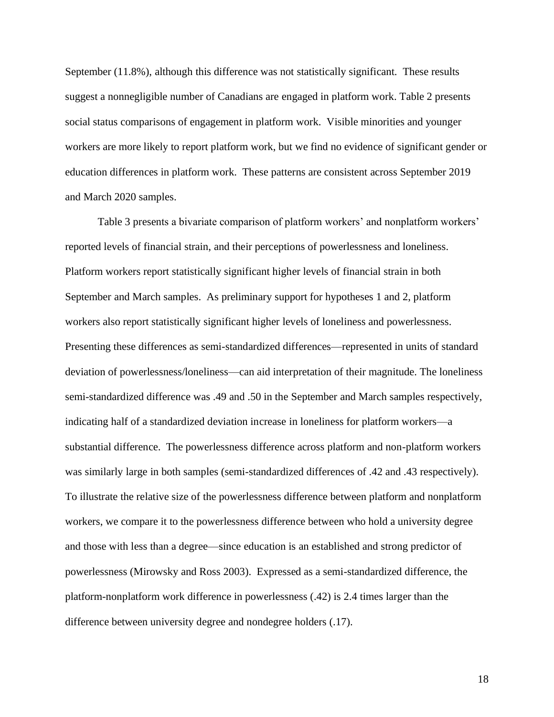September (11.8%), although this difference was not statistically significant. These results suggest a nonnegligible number of Canadians are engaged in platform work. Table 2 presents social status comparisons of engagement in platform work. Visible minorities and younger workers are more likely to report platform work, but we find no evidence of significant gender or education differences in platform work. These patterns are consistent across September 2019 and March 2020 samples.

Table 3 presents a bivariate comparison of platform workers' and nonplatform workers' reported levels of financial strain, and their perceptions of powerlessness and loneliness. Platform workers report statistically significant higher levels of financial strain in both September and March samples. As preliminary support for hypotheses 1 and 2, platform workers also report statistically significant higher levels of loneliness and powerlessness. Presenting these differences as semi-standardized differences—represented in units of standard deviation of powerlessness/loneliness—can aid interpretation of their magnitude. The loneliness semi-standardized difference was .49 and .50 in the September and March samples respectively, indicating half of a standardized deviation increase in loneliness for platform workers—a substantial difference. The powerlessness difference across platform and non-platform workers was similarly large in both samples (semi-standardized differences of .42 and .43 respectively). To illustrate the relative size of the powerlessness difference between platform and nonplatform workers, we compare it to the powerlessness difference between who hold a university degree and those with less than a degree—since education is an established and strong predictor of powerlessness (Mirowsky and Ross 2003). Expressed as a semi-standardized difference, the platform-nonplatform work difference in powerlessness (.42) is 2.4 times larger than the difference between university degree and nondegree holders (.17).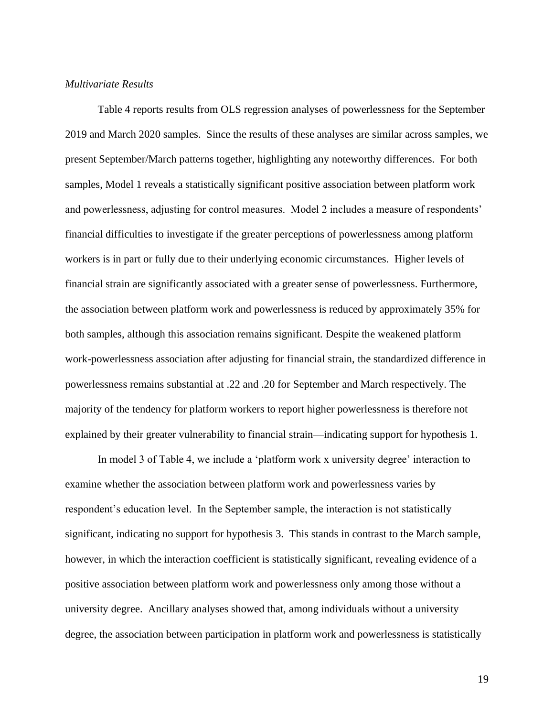# *Multivariate Results*

Table 4 reports results from OLS regression analyses of powerlessness for the September 2019 and March 2020 samples. Since the results of these analyses are similar across samples, we present September/March patterns together, highlighting any noteworthy differences. For both samples, Model 1 reveals a statistically significant positive association between platform work and powerlessness, adjusting for control measures. Model 2 includes a measure of respondents' financial difficulties to investigate if the greater perceptions of powerlessness among platform workers is in part or fully due to their underlying economic circumstances. Higher levels of financial strain are significantly associated with a greater sense of powerlessness. Furthermore, the association between platform work and powerlessness is reduced by approximately 35% for both samples, although this association remains significant. Despite the weakened platform work-powerlessness association after adjusting for financial strain, the standardized difference in powerlessness remains substantial at .22 and .20 for September and March respectively. The majority of the tendency for platform workers to report higher powerlessness is therefore not explained by their greater vulnerability to financial strain—indicating support for hypothesis 1.

In model 3 of Table 4, we include a 'platform work x university degree' interaction to examine whether the association between platform work and powerlessness varies by respondent's education level. In the September sample, the interaction is not statistically significant, indicating no support for hypothesis 3. This stands in contrast to the March sample, however, in which the interaction coefficient is statistically significant, revealing evidence of a positive association between platform work and powerlessness only among those without a university degree. Ancillary analyses showed that, among individuals without a university degree, the association between participation in platform work and powerlessness is statistically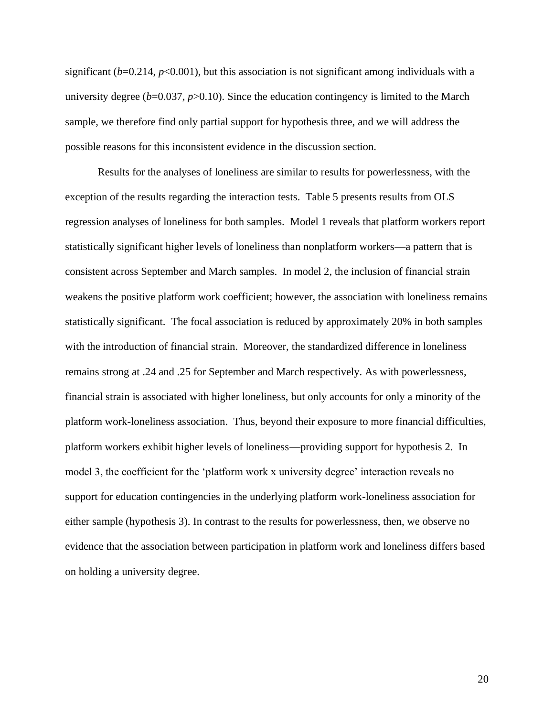significant (*b*=0.214, *p*<0.001), but this association is not significant among individuals with a university degree  $(b=0.037, p>0.10)$ . Since the education contingency is limited to the March sample, we therefore find only partial support for hypothesis three, and we will address the possible reasons for this inconsistent evidence in the discussion section.

Results for the analyses of loneliness are similar to results for powerlessness, with the exception of the results regarding the interaction tests. Table 5 presents results from OLS regression analyses of loneliness for both samples. Model 1 reveals that platform workers report statistically significant higher levels of loneliness than nonplatform workers—a pattern that is consistent across September and March samples. In model 2, the inclusion of financial strain weakens the positive platform work coefficient; however, the association with loneliness remains statistically significant. The focal association is reduced by approximately 20% in both samples with the introduction of financial strain. Moreover, the standardized difference in loneliness remains strong at .24 and .25 for September and March respectively. As with powerlessness, financial strain is associated with higher loneliness, but only accounts for only a minority of the platform work-loneliness association. Thus, beyond their exposure to more financial difficulties, platform workers exhibit higher levels of loneliness—providing support for hypothesis 2. In model 3, the coefficient for the 'platform work x university degree' interaction reveals no support for education contingencies in the underlying platform work-loneliness association for either sample (hypothesis 3). In contrast to the results for powerlessness, then, we observe no evidence that the association between participation in platform work and loneliness differs based on holding a university degree.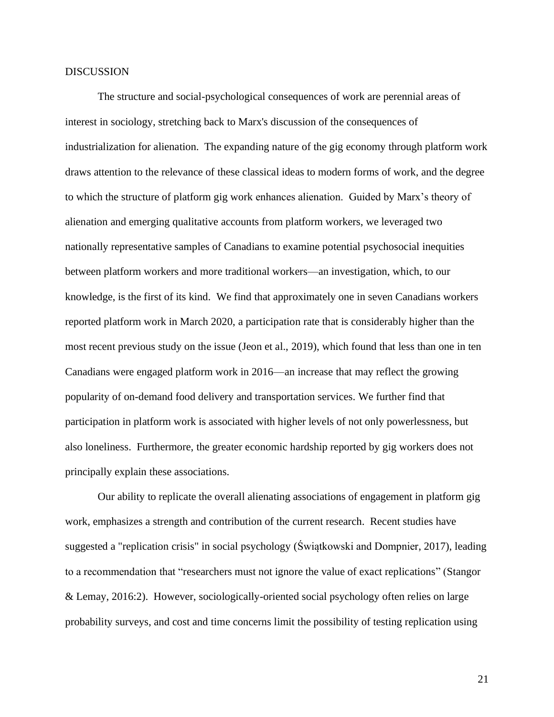#### DISCUSSION

The structure and social-psychological consequences of work are perennial areas of interest in sociology, stretching back to Marx's discussion of the consequences of industrialization for alienation. The expanding nature of the gig economy through platform work draws attention to the relevance of these classical ideas to modern forms of work, and the degree to which the structure of platform gig work enhances alienation. Guided by Marx's theory of alienation and emerging qualitative accounts from platform workers, we leveraged two nationally representative samples of Canadians to examine potential psychosocial inequities between platform workers and more traditional workers—an investigation, which, to our knowledge, is the first of its kind. We find that approximately one in seven Canadians workers reported platform work in March 2020, a participation rate that is considerably higher than the most recent previous study on the issue (Jeon et al., 2019), which found that less than one in ten Canadians were engaged platform work in 2016—an increase that may reflect the growing popularity of on-demand food delivery and transportation services. We further find that participation in platform work is associated with higher levels of not only powerlessness, but also loneliness. Furthermore, the greater economic hardship reported by gig workers does not principally explain these associations.

Our ability to replicate the overall alienating associations of engagement in platform gig work, emphasizes a strength and contribution of the current research. Recent studies have suggested a "replication crisis" in social psychology (Świątkowski and Dompnier, 2017), leading to a recommendation that "researchers must not ignore the value of exact replications" (Stangor & Lemay, 2016:2). However, sociologically-oriented social psychology often relies on large probability surveys, and cost and time concerns limit the possibility of testing replication using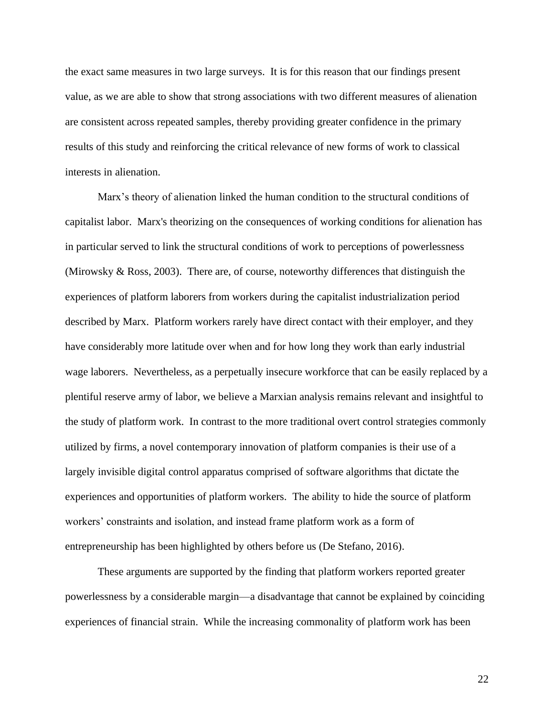the exact same measures in two large surveys. It is for this reason that our findings present value, as we are able to show that strong associations with two different measures of alienation are consistent across repeated samples, thereby providing greater confidence in the primary results of this study and reinforcing the critical relevance of new forms of work to classical interests in alienation.

Marx's theory of alienation linked the human condition to the structural conditions of capitalist labor. Marx's theorizing on the consequences of working conditions for alienation has in particular served to link the structural conditions of work to perceptions of powerlessness (Mirowsky & Ross, 2003). There are, of course, noteworthy differences that distinguish the experiences of platform laborers from workers during the capitalist industrialization period described by Marx. Platform workers rarely have direct contact with their employer, and they have considerably more latitude over when and for how long they work than early industrial wage laborers. Nevertheless, as a perpetually insecure workforce that can be easily replaced by a plentiful reserve army of labor, we believe a Marxian analysis remains relevant and insightful to the study of platform work. In contrast to the more traditional overt control strategies commonly utilized by firms, a novel contemporary innovation of platform companies is their use of a largely invisible digital control apparatus comprised of software algorithms that dictate the experiences and opportunities of platform workers. The ability to hide the source of platform workers' constraints and isolation, and instead frame platform work as a form of entrepreneurship has been highlighted by others before us (De Stefano, 2016).

These arguments are supported by the finding that platform workers reported greater powerlessness by a considerable margin—a disadvantage that cannot be explained by coinciding experiences of financial strain. While the increasing commonality of platform work has been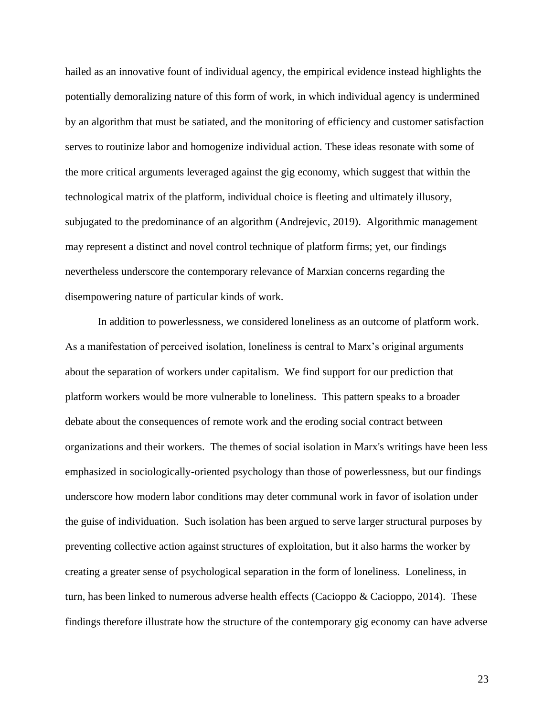hailed as an innovative fount of individual agency, the empirical evidence instead highlights the potentially demoralizing nature of this form of work, in which individual agency is undermined by an algorithm that must be satiated, and the monitoring of efficiency and customer satisfaction serves to routinize labor and homogenize individual action. These ideas resonate with some of the more critical arguments leveraged against the gig economy, which suggest that within the technological matrix of the platform, individual choice is fleeting and ultimately illusory, subjugated to the predominance of an algorithm (Andrejevic, 2019). Algorithmic management may represent a distinct and novel control technique of platform firms; yet, our findings nevertheless underscore the contemporary relevance of Marxian concerns regarding the disempowering nature of particular kinds of work.

In addition to powerlessness, we considered loneliness as an outcome of platform work. As a manifestation of perceived isolation, loneliness is central to Marx's original arguments about the separation of workers under capitalism. We find support for our prediction that platform workers would be more vulnerable to loneliness. This pattern speaks to a broader debate about the consequences of remote work and the eroding social contract between organizations and their workers. The themes of social isolation in Marx's writings have been less emphasized in sociologically-oriented psychology than those of powerlessness, but our findings underscore how modern labor conditions may deter communal work in favor of isolation under the guise of individuation. Such isolation has been argued to serve larger structural purposes by preventing collective action against structures of exploitation, but it also harms the worker by creating a greater sense of psychological separation in the form of loneliness. Loneliness, in turn, has been linked to numerous adverse health effects (Cacioppo & Cacioppo, 2014). These findings therefore illustrate how the structure of the contemporary gig economy can have adverse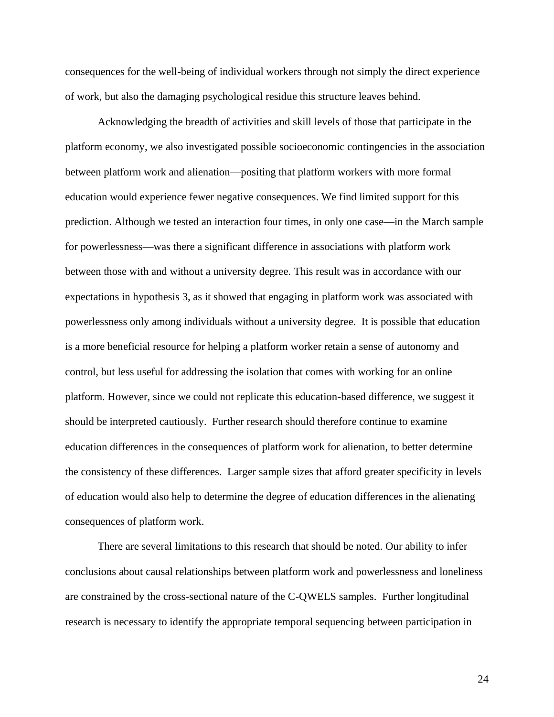consequences for the well-being of individual workers through not simply the direct experience of work, but also the damaging psychological residue this structure leaves behind.

Acknowledging the breadth of activities and skill levels of those that participate in the platform economy, we also investigated possible socioeconomic contingencies in the association between platform work and alienation—positing that platform workers with more formal education would experience fewer negative consequences. We find limited support for this prediction. Although we tested an interaction four times, in only one case—in the March sample for powerlessness—was there a significant difference in associations with platform work between those with and without a university degree. This result was in accordance with our expectations in hypothesis 3, as it showed that engaging in platform work was associated with powerlessness only among individuals without a university degree. It is possible that education is a more beneficial resource for helping a platform worker retain a sense of autonomy and control, but less useful for addressing the isolation that comes with working for an online platform. However, since we could not replicate this education-based difference, we suggest it should be interpreted cautiously. Further research should therefore continue to examine education differences in the consequences of platform work for alienation, to better determine the consistency of these differences. Larger sample sizes that afford greater specificity in levels of education would also help to determine the degree of education differences in the alienating consequences of platform work.

There are several limitations to this research that should be noted. Our ability to infer conclusions about causal relationships between platform work and powerlessness and loneliness are constrained by the cross-sectional nature of the C-QWELS samples. Further longitudinal research is necessary to identify the appropriate temporal sequencing between participation in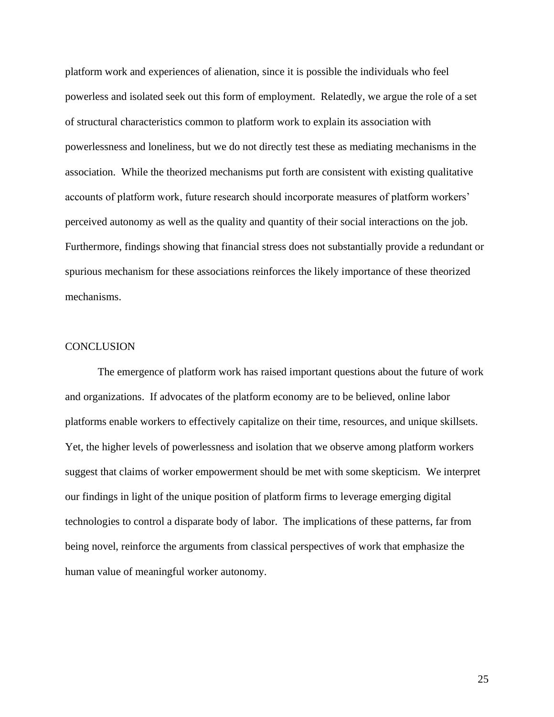platform work and experiences of alienation, since it is possible the individuals who feel powerless and isolated seek out this form of employment. Relatedly, we argue the role of a set of structural characteristics common to platform work to explain its association with powerlessness and loneliness, but we do not directly test these as mediating mechanisms in the association. While the theorized mechanisms put forth are consistent with existing qualitative accounts of platform work, future research should incorporate measures of platform workers' perceived autonomy as well as the quality and quantity of their social interactions on the job. Furthermore, findings showing that financial stress does not substantially provide a redundant or spurious mechanism for these associations reinforces the likely importance of these theorized mechanisms.

## **CONCLUSION**

The emergence of platform work has raised important questions about the future of work and organizations. If advocates of the platform economy are to be believed, online labor platforms enable workers to effectively capitalize on their time, resources, and unique skillsets. Yet, the higher levels of powerlessness and isolation that we observe among platform workers suggest that claims of worker empowerment should be met with some skepticism. We interpret our findings in light of the unique position of platform firms to leverage emerging digital technologies to control a disparate body of labor. The implications of these patterns, far from being novel, reinforce the arguments from classical perspectives of work that emphasize the human value of meaningful worker autonomy.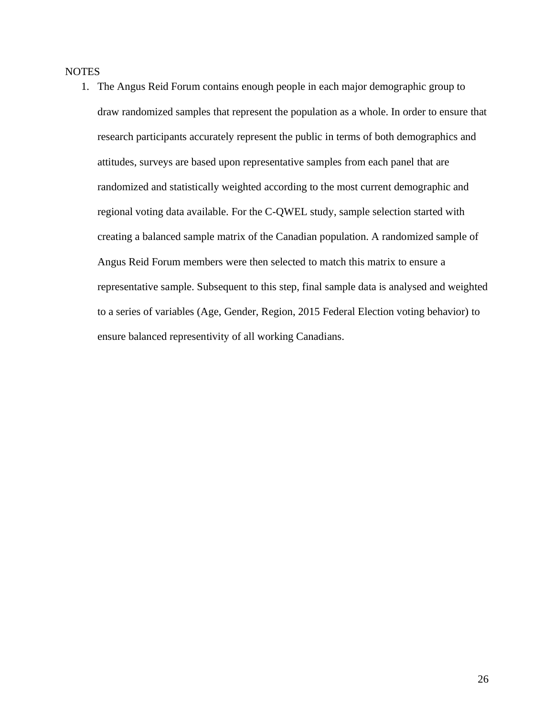# **NOTES**

1. The Angus Reid Forum contains enough people in each major demographic group to draw randomized samples that represent the population as a whole. In order to ensure that research participants accurately represent the public in terms of both demographics and attitudes, surveys are based upon representative samples from each panel that are randomized and statistically weighted according to the most current demographic and regional voting data available. For the C-QWEL study, sample selection started with creating a balanced sample matrix of the Canadian population. A randomized sample of Angus Reid Forum members were then selected to match this matrix to ensure a representative sample. Subsequent to this step, final sample data is analysed and weighted to a series of variables (Age, Gender, Region, 2015 Federal Election voting behavior) to ensure balanced representivity of all working Canadians.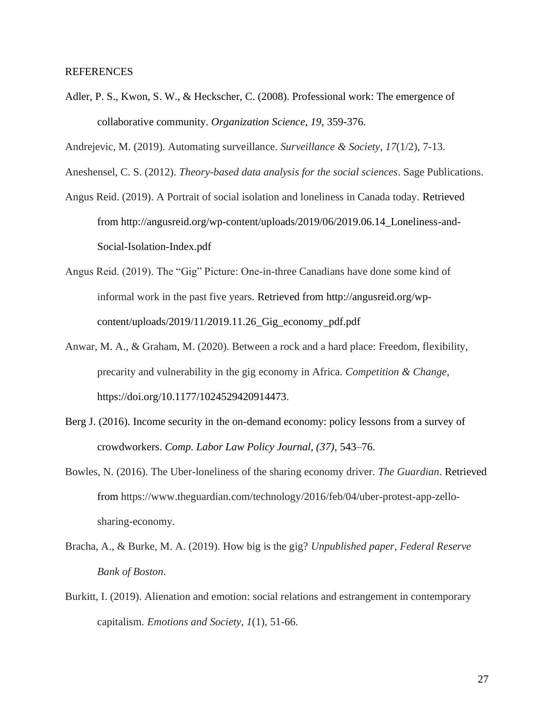#### REFERENCES

- Adler, P. S., Kwon, S. W., & Heckscher, C. (2008). Professional work: The emergence of collaborative community. *Organization Science*, *19*, 359-376.
- Andrejevic, M. (2019). Automating surveillance. *Surveillance & Society*, *17*(1/2), 7-13.
- Aneshensel, C. S. (2012). *Theory-based data analysis for the social sciences*. Sage Publications.
- Angus Reid. (2019). A Portrait of social isolation and loneliness in Canada today. Retrieved from http://angusreid.org/wp-content/uploads/2019/06/2019.06.14\_Loneliness-and-Social-Isolation-Index.pdf
- Angus Reid. (2019). The "Gig" Picture: One-in-three Canadians have done some kind of informal work in the past five years. Retrieved from http://angusreid.org/wpcontent/uploads/2019/11/2019.11.26\_Gig\_economy\_pdf.pdf
- Anwar, M. A., & Graham, M. (2020). Between a rock and a hard place: Freedom, flexibility, precarity and vulnerability in the gig economy in Africa. *Competition & Change*, https://doi.org/10.1177/1024529420914473.
- Berg J. (2016). Income security in the on-demand economy: policy lessons from a survey of crowdworkers. *Comp. Labor Law Policy Journal, (37),* 543–76.
- Bowles, N. (2016). The Uber-loneliness of the sharing economy driver. *The Guardian*. Retrieved from https://www.theguardian.com/technology/2016/feb/04/uber-protest-app-zellosharing-economy.
- Bracha, A., & Burke, M. A. (2019). How big is the gig? *Unpublished paper, Federal Reserve Bank of Boston*.
- Burkitt, I. (2019). Alienation and emotion: social relations and estrangement in contemporary capitalism. *Emotions and Society*, *1*(1), 51-66.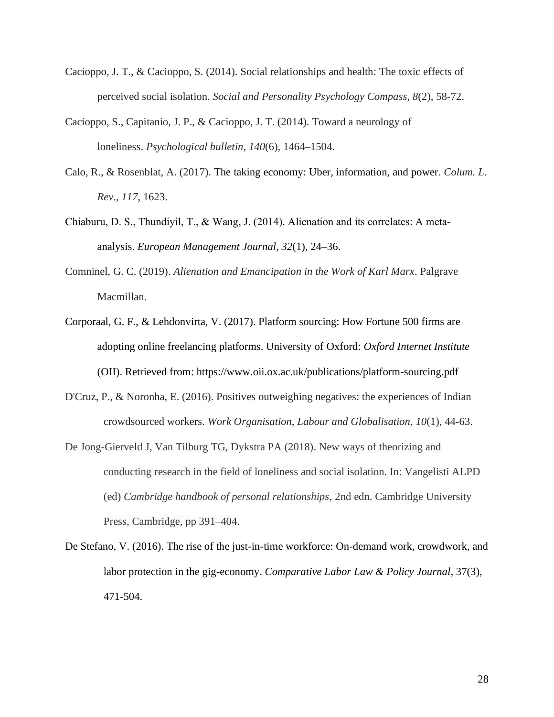- Cacioppo, J. T., & Cacioppo, S. (2014). Social relationships and health: The toxic effects of perceived social isolation. *Social and Personality Psychology Compass*, *8*(2), 58-72.
- Cacioppo, S., Capitanio, J. P., & Cacioppo, J. T. (2014). Toward a neurology of loneliness. *Psychological bulletin*, *140*(6), 1464–1504.
- Calo, R., & Rosenblat, A. (2017). The taking economy: Uber, information, and power. *Colum. L. Rev.*, *117*, 1623.
- Chiaburu, D. S., Thundiyil, T., & Wang, J. (2014). Alienation and its correlates: A meta‐ analysis. *European Management Journal*, *32*(1), 24–36.
- Comninel, G. C. (2019). *Alienation and Emancipation in the Work of Karl Marx*. Palgrave Macmillan.
- Corporaal, G. F., & Lehdonvirta, V. (2017). Platform sourcing: How Fortune 500 firms are adopting online freelancing platforms. University of Oxford: *Oxford Internet Institute* (OII). Retrieved from: https://www.oii.ox.ac.uk/publications/platform-sourcing.pdf
- D'Cruz, P., & Noronha, E. (2016). Positives outweighing negatives: the experiences of Indian crowdsourced workers. *Work Organisation, Labour and Globalisation*, *10*(1), 44-63.
- De Jong-Gierveld J, Van Tilburg TG, Dykstra PA (2018). New ways of theorizing and conducting research in the field of loneliness and social isolation. In: Vangelisti ALPD (ed) *Cambridge handbook of personal relationships*, 2nd edn. Cambridge University Press, Cambridge, pp 391–404.
- De Stefano, V. (2016). The rise of the just-in-time workforce: On-demand work, crowdwork, and labor protection in the gig-economy. *Comparative Labor Law & Policy Journal*, 37(3), 471-504.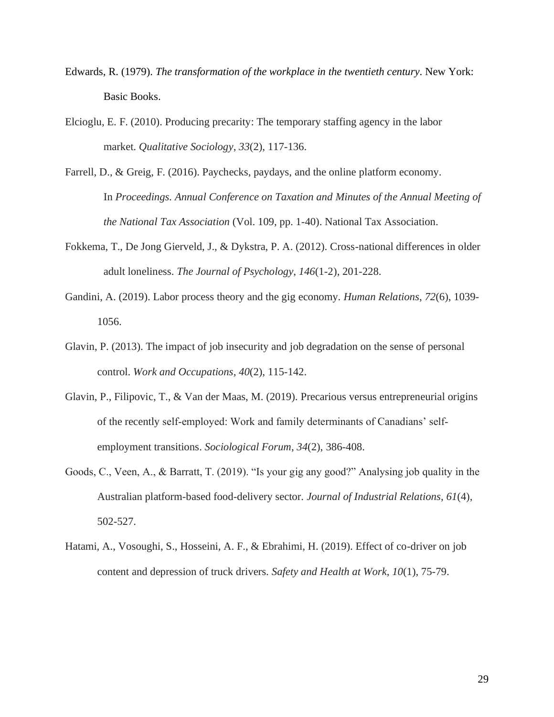- Edwards, R. (1979). *The transformation of the workplace in the twentieth century*. New York: Basic Books.
- Elcioglu, E. F. (2010). Producing precarity: The temporary staffing agency in the labor market. *Qualitative Sociology*, *33*(2), 117-136.
- Farrell, D., & Greig, F. (2016). Paychecks, paydays, and the online platform economy. In *Proceedings. Annual Conference on Taxation and Minutes of the Annual Meeting of the National Tax Association* (Vol. 109, pp. 1-40). National Tax Association.
- Fokkema, T., De Jong Gierveld, J., & Dykstra, P. A. (2012). Cross-national differences in older adult loneliness. *The Journal of Psychology*, *146*(1-2), 201-228.
- Gandini, A. (2019). Labor process theory and the gig economy. *Human Relations*, *72*(6), 1039- 1056.
- Glavin, P. (2013). The impact of job insecurity and job degradation on the sense of personal control. *Work and Occupations*, *40*(2), 115-142.
- Glavin, P., Filipovic, T., & Van der Maas, M. (2019). Precarious versus entrepreneurial origins of the recently self‐employed: Work and family determinants of Canadians' self‐ employment transitions. *Sociological Forum*, *34*(2), 386-408.
- Goods, C., Veen, A., & Barratt, T. (2019). "Is your gig any good?" Analysing job quality in the Australian platform-based food-delivery sector. *Journal of Industrial Relations*, *61*(4), 502-527.
- Hatami, A., Vosoughi, S., Hosseini, A. F., & Ebrahimi, H. (2019). Effect of co-driver on job content and depression of truck drivers. *Safety and Health at Work*, *10*(1), 75-79.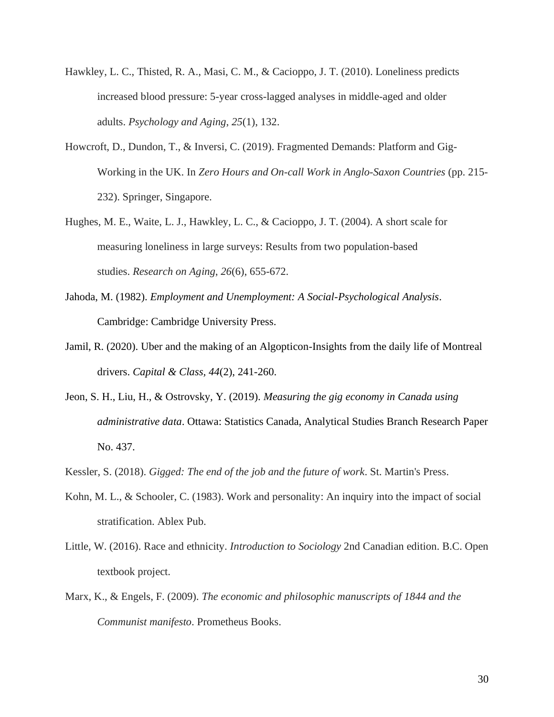- Hawkley, L. C., Thisted, R. A., Masi, C. M., & Cacioppo, J. T. (2010). Loneliness predicts increased blood pressure: 5-year cross-lagged analyses in middle-aged and older adults. *Psychology and Aging*, *25*(1), 132.
- Howcroft, D., Dundon, T., & Inversi, C. (2019). Fragmented Demands: Platform and Gig-Working in the UK. In *Zero Hours and On-call Work in Anglo-Saxon Countries* (pp. 215- 232). Springer, Singapore.
- Hughes, M. E., Waite, L. J., Hawkley, L. C., & Cacioppo, J. T. (2004). A short scale for measuring loneliness in large surveys: Results from two population-based studies. *Research on Aging*, *26*(6), 655-672.
- Jahoda, M. (1982). *Employment and Unemployment: A Social-Psychological Analysis*. Cambridge: Cambridge University Press.
- Jamil, R. (2020). Uber and the making of an Algopticon-Insights from the daily life of Montreal drivers. *Capital & Class, 44*(2), 241-260.
- Jeon, S. H., Liu, H., & Ostrovsky, Y. (2019). *Measuring the gig economy in Canada using administrative data*. Ottawa: Statistics Canada, Analytical Studies Branch Research Paper No. 437.
- Kessler, S. (2018). *Gigged: The end of the job and the future of work*. St. Martin's Press.
- Kohn, M. L., & Schooler, C. (1983). Work and personality: An inquiry into the impact of social stratification. Ablex Pub.
- Little, W. (2016). Race and ethnicity. *Introduction to Sociology* 2nd Canadian edition. B.C. Open textbook project.
- Marx, K., & Engels, F. (2009). *The economic and philosophic manuscripts of 1844 and the Communist manifesto*. Prometheus Books.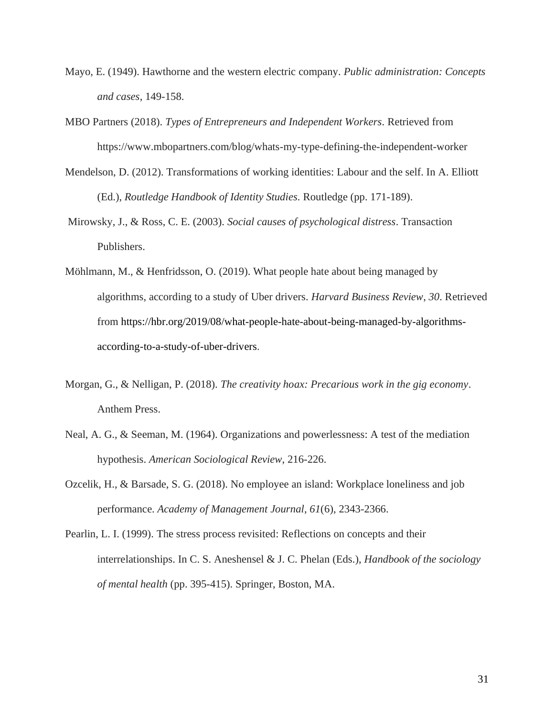- Mayo, E. (1949). Hawthorne and the western electric company. *Public administration: Concepts and cases*, 149-158.
- MBO Partners (2018). *Types of Entrepreneurs and Independent Workers.* Retrieved from https://www.mbopartners.com/blog/whats-my-type-defining-the-independent-worker
- Mendelson, D. (2012). Transformations of working identities: Labour and the self. In A. Elliott (Ed.), *Routledge Handbook of Identity Studies.* Routledge (pp. 171-189).
- Mirowsky, J., & Ross, C. E. (2003). *Social causes of psychological distress*. Transaction Publishers.
- Möhlmann, M., & Henfridsson, O. (2019). What people hate about being managed by algorithms, according to a study of Uber drivers. *Harvard Business Review*, *30*. Retrieved from https://hbr.org/2019/08/what-people-hate-about-being-managed-by-algorithmsaccording-to-a-study-of-uber-drivers.
- Morgan, G., & Nelligan, P. (2018). *The creativity hoax: Precarious work in the gig economy*. Anthem Press.
- Neal, A. G., & Seeman, M. (1964). Organizations and powerlessness: A test of the mediation hypothesis. *American Sociological Review*, 216-226.
- Ozcelik, H., & Barsade, S. G. (2018). No employee an island: Workplace loneliness and job performance. *Academy of Management Journal*, *61*(6), 2343-2366.
- Pearlin, L. I. (1999). The stress process revisited: Reflections on concepts and their interrelationships. In C. S. Aneshensel & J. C. Phelan (Eds.), *Handbook of the sociology of mental health* (pp. 395-415). Springer, Boston, MA.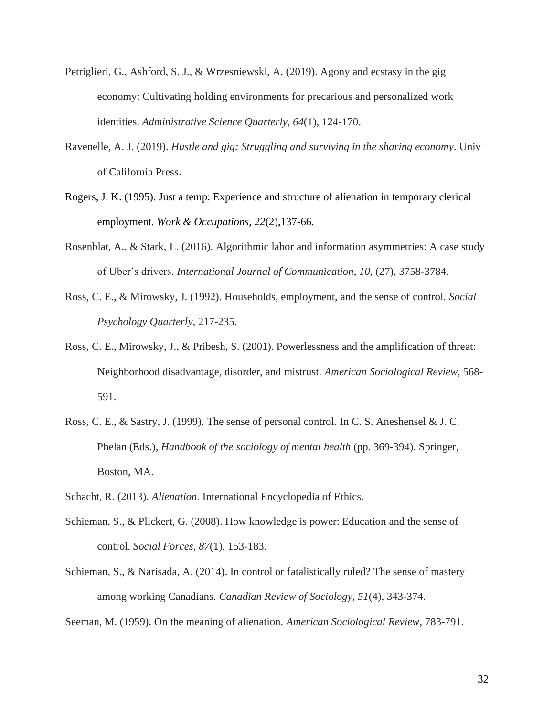- Petriglieri, G., Ashford, S. J., & Wrzesniewski, A. (2019). Agony and ecstasy in the gig economy: Cultivating holding environments for precarious and personalized work identities. *Administrative Science Quarterly*, *64*(1), 124-170.
- Ravenelle, A. J. (2019). *Hustle and gig: Struggling and surviving in the sharing economy*. Univ of California Press.
- Rogers, J. K. (1995). Just a temp: Experience and structure of alienation in temporary clerical employment. *Work & Occupations, 22*(2),137-66.
- Rosenblat, A., & Stark, L. (2016). Algorithmic labor and information asymmetries: A case study of Uber's drivers. *International Journal of Communication*, *10*, (27), 3758-3784.
- Ross, C. E., & Mirowsky, J. (1992). Households, employment, and the sense of control. *Social Psychology Quarterly*, 217-235.
- Ross, C. E., Mirowsky, J., & Pribesh, S. (2001). Powerlessness and the amplification of threat: Neighborhood disadvantage, disorder, and mistrust. *American Sociological Review*, 568- 591.
- Ross, C. E., & Sastry, J. (1999). The sense of personal control. In C. S. Aneshensel & J. C. Phelan (Eds.), *Handbook of the sociology of mental health* (pp. 369-394). Springer, Boston, MA.
- Schacht, R. (2013). *Alienation*. International Encyclopedia of Ethics.
- Schieman, S., & Plickert, G. (2008). How knowledge is power: Education and the sense of control. *Social Forces*, *87*(1), 153-183.
- Schieman, S., & Narisada, A. (2014). In control or fatalistically ruled? The sense of mastery among working Canadians. *Canadian Review of Sociology, 51*(4), 343-374.

Seeman, M. (1959). On the meaning of alienation. *American Sociological Review*, 783-791.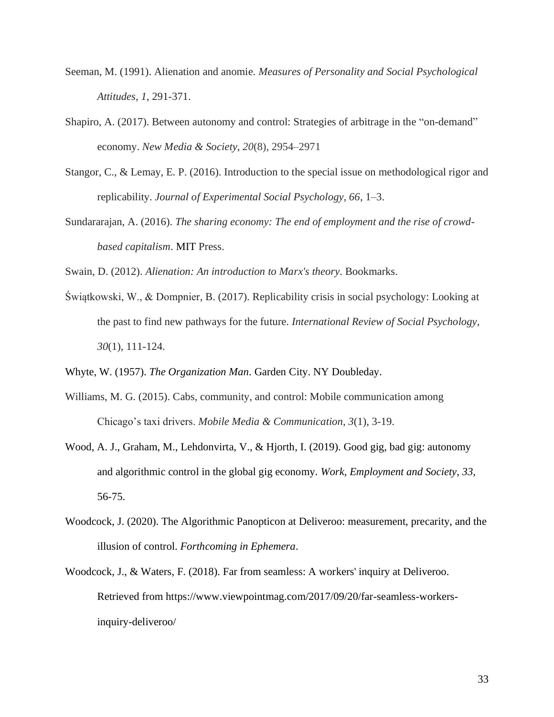- Seeman, M. (1991). Alienation and anomie. *Measures of Personality and Social Psychological Attitudes*, *1*, 291-371.
- Shapiro, A. (2017). Between autonomy and control: Strategies of arbitrage in the "on-demand" economy. *New Media & Society*, *20*(8), 2954–2971
- Stangor, C., & Lemay, E. P. (2016). Introduction to the special issue on methodological rigor and replicability. *Journal of Experimental Social Psychology, 66*, 1–3.
- Sundararajan, A. (2016). *The sharing economy: The end of employment and the rise of crowdbased capitalism*. MIT Press.

Swain, D. (2012). *Alienation: An introduction to Marx's theory*. Bookmarks.

Świątkowski, W., & Dompnier, B. (2017). Replicability crisis in social psychology: Looking at the past to find new pathways for the future. *International Review of Social Psychology*, *30*(1), 111-124.

Whyte, W. (1957). *The Organization Man*. Garden City. NY Doubleday.

- Williams, M. G. (2015). Cabs, community, and control: Mobile communication among Chicago's taxi drivers. *Mobile Media & Communication*, *3*(1), 3-19.
- Wood, A. J., Graham, M., Lehdonvirta, V., & Hjorth, I. (2019). Good gig, bad gig: autonomy and algorithmic control in the global gig economy. *Work, Employment and Society*, *33*, 56-75.
- Woodcock, J. (2020). The Algorithmic Panopticon at Deliveroo: measurement, precarity, and the illusion of control. *Forthcoming in Ephemera*.
- Woodcock, J., & Waters, F. (2018). Far from seamless: A workers' inquiry at Deliveroo. Retrieved from https://www.viewpointmag.com/2017/09/20/far-seamless-workersinquiry-deliveroo/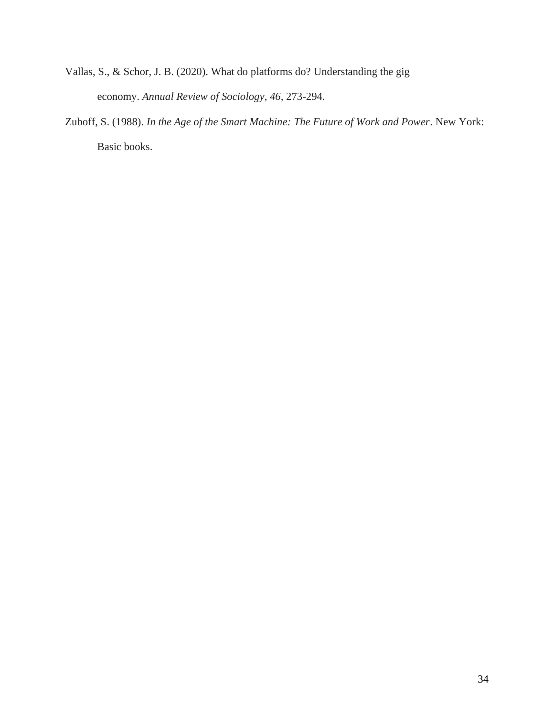- Vallas, S., & Schor, J. B. (2020). What do platforms do? Understanding the gig economy. *Annual Review of Sociology*, *46,* 273-294*.*
- Zuboff, S. (1988). *In the Age of the Smart Machine: The Future of Work and Power*. New York: Basic books.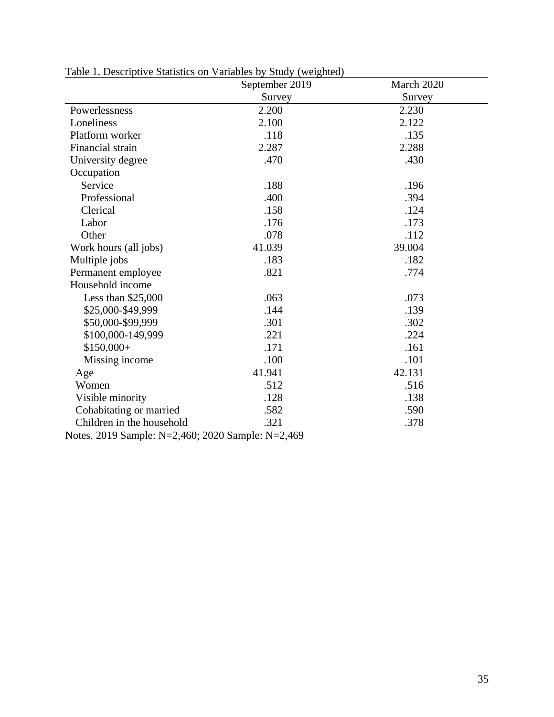|                           | September 2019 | March 2020 |
|---------------------------|----------------|------------|
|                           | Survey         | Survey     |
| Powerlessness             | 2.200          | 2.230      |
| Loneliness                | 2.100          | 2.122      |
| Platform worker           | .118           | .135       |
| Financial strain          | 2.287          | 2.288      |
| University degree         | .470           | .430       |
| Occupation                |                |            |
| Service                   | .188           | .196       |
| Professional              | .400           | .394       |
| Clerical                  | .158           | .124       |
| Labor                     | .176           | .173       |
| Other                     | .078           | .112       |
| Work hours (all jobs)     | 41.039         | 39.004     |
| Multiple jobs             | .183           | .182       |
| Permanent employee        | .821           | .774       |
| Household income          |                |            |
| Less than $$25,000$       | .063           | .073       |
| \$25,000-\$49,999         | .144           | .139       |
| \$50,000-\$99,999         | .301           | .302       |
| \$100,000-149,999         | .221           | .224       |
| $$150,000+$               | .171           | .161       |
| Missing income            | .100           | .101       |
| Age                       | 41.941         | 42.131     |
| Women                     | .512           | .516       |
| Visible minority          | .128           | .138       |
| Cohabitating or married   | .582           | .590       |
| Children in the household | .321           | .378       |

Table 1. Descriptive Statistics on Variables by Study (weighted)

Notes. 2019 Sample: N=2,460; 2020 Sample: N=2,469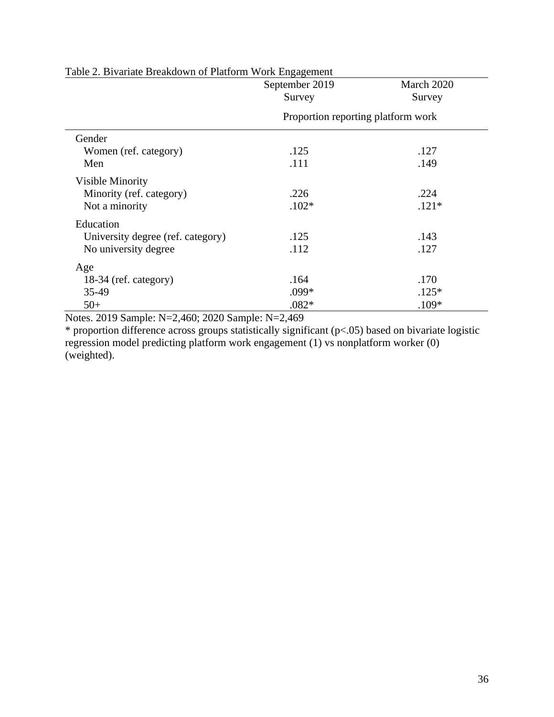|                                   | September 2019<br>Survey           | March 2020<br>Survey |  |  |
|-----------------------------------|------------------------------------|----------------------|--|--|
|                                   | Proportion reporting platform work |                      |  |  |
| Gender                            |                                    |                      |  |  |
| Women (ref. category)             | .125                               | .127                 |  |  |
| Men                               | .111                               | .149                 |  |  |
| <b>Visible Minority</b>           |                                    |                      |  |  |
| Minority (ref. category)          | .226                               | .224                 |  |  |
| Not a minority                    | $.102*$                            | $.121*$              |  |  |
| Education                         |                                    |                      |  |  |
| University degree (ref. category) | .125                               | .143                 |  |  |
| No university degree              | .112                               | .127                 |  |  |
| Age                               |                                    |                      |  |  |
| 18-34 (ref. category)             | .164                               | .170                 |  |  |
| 35-49                             | .099*                              | $.125*$              |  |  |
| $50+$                             | $.082*$                            | .109*                |  |  |

Table 2. Bivariate Breakdown of Platform Work Engagement

Notes. 2019 Sample: N=2,460; 2020 Sample: N=2,469

\* proportion difference across groups statistically significant (p<.05) based on bivariate logistic regression model predicting platform work engagement (1) vs nonplatform worker (0) (weighted).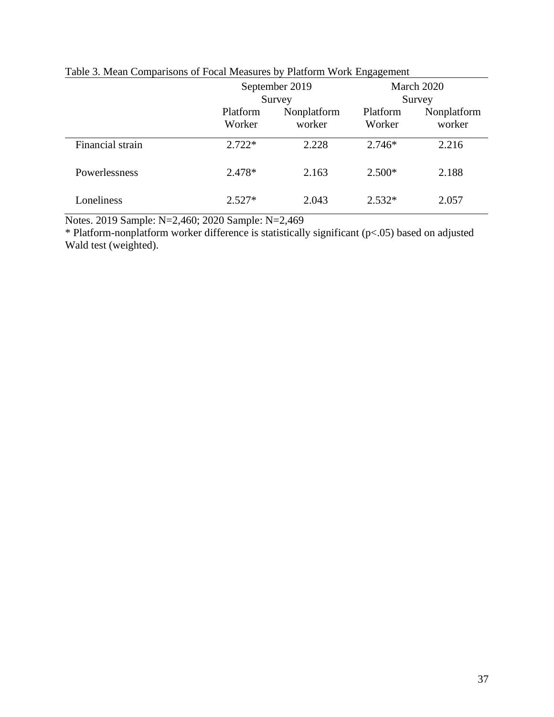|                  |                    | September 2019                  |          | March 2020                      |
|------------------|--------------------|---------------------------------|----------|---------------------------------|
|                  | Platform<br>Worker | Survey<br>Nonplatform<br>worker |          | Survey<br>Nonplatform<br>worker |
| Financial strain | $2.722*$           | 2.228                           | $2.746*$ | 2.216                           |
| Powerlessness    | 2.478*             | 2.163                           | $2.500*$ | 2.188                           |
| Loneliness       | $2.527*$           | 2.043                           | $2.532*$ | 2.057                           |

# Table 3. Mean Comparisons of Focal Measures by Platform Work Engagement

Notes. 2019 Sample: N=2,460; 2020 Sample: N=2,469

\* Platform-nonplatform worker difference is statistically significant (p<.05) based on adjusted Wald test (weighted).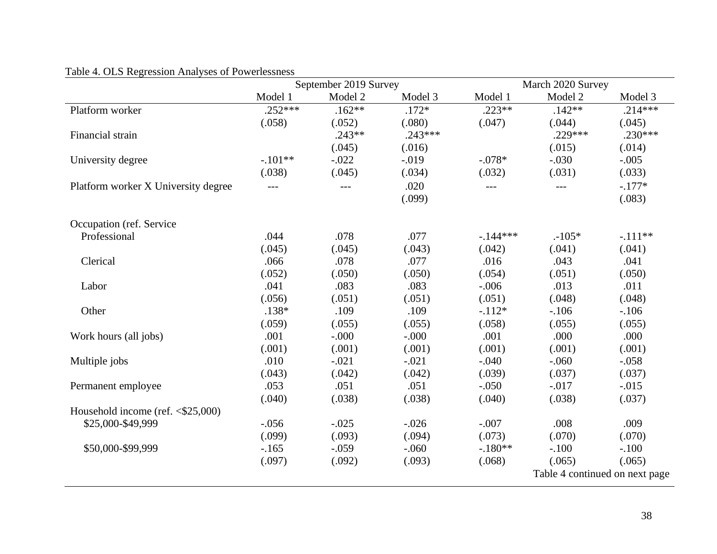|                                                    |           | September 2019 Survey |           |           | March 2020 Survey              |           |
|----------------------------------------------------|-----------|-----------------------|-----------|-----------|--------------------------------|-----------|
|                                                    | Model 1   | Model 2               | Model 3   | Model 1   | Model 2                        | Model 3   |
| Platform worker                                    | $.252***$ | $.162**$              | $.172*$   | $.223**$  | $.142**$                       | $.214***$ |
|                                                    | (.058)    | (.052)                | (.080)    | (.047)    | (.044)                         | (.045)    |
| Financial strain                                   |           | $.243**$              | $.243***$ |           | .229***                        | $.230***$ |
|                                                    |           | (.045)                | (.016)    |           | (.015)                         | (.014)    |
| University degree                                  | $-.101**$ | $-.022$               | $-.019$   | $-.078*$  | $-.030$                        | $-.005$   |
|                                                    | (.038)    | (.045)                | (.034)    | (.032)    | (.031)                         | (.033)    |
| Platform worker X University degree                | $---$     | $---$                 | .020      | $---$     | $---$                          | $-.177*$  |
|                                                    |           |                       | (.099)    |           |                                | (.083)    |
| Occupation (ref. Service)                          |           |                       |           |           |                                |           |
| Professional                                       | .044      | .078                  | .077      | $-144***$ | $.105*$                        | $-.111**$ |
|                                                    | (.045)    | (.045)                | (.043)    | (.042)    | (.041)                         | (.041)    |
| Clerical                                           | .066      | .078                  | .077      | .016      | .043                           | .041      |
|                                                    | (.052)    | (.050)                | (.050)    | (.054)    | (.051)                         | (.050)    |
| Labor                                              | .041      | .083                  | .083      | $-.006$   | .013                           | .011      |
|                                                    | (.056)    | (.051)                | (.051)    | (.051)    | (.048)                         | (.048)    |
| Other                                              | $.138*$   | .109                  | .109      | $-.112*$  | $-.106$                        | $-.106$   |
|                                                    | (.059)    | (.055)                | (.055)    | (.058)    | (.055)                         | (.055)    |
| Work hours (all jobs)                              | .001      | $-0.000$              | $-.000$   | .001      | .000                           | .000      |
|                                                    | (.001)    | (.001)                | (.001)    | (.001)    | (.001)                         | (.001)    |
| Multiple jobs                                      | .010      | $-.021$               | $-.021$   | $-.040$   | $-.060$                        | $-.058$   |
|                                                    | (.043)    | (.042)                | (.042)    | (.039)    | (.037)                         | (.037)    |
| Permanent employee                                 | .053      | .051                  | .051      | $-.050$   | $-.017$                        | $-0.015$  |
|                                                    | (.040)    | (.038)                | (.038)    | (.040)    | (.038)                         | (.037)    |
| Household income (ref. $\langle $25,000 \rangle$ ) |           |                       |           |           |                                |           |
| \$25,000-\$49,999                                  | $-.056$   | $-.025$               | $-.026$   | $-.007$   | .008                           | .009      |
|                                                    | (.099)    | (.093)                | (.094)    | (.073)    | (.070)                         | (.070)    |
| \$50,000-\$99,999                                  | $-.165$   | $-.059$               | $-.060$   | $-.180**$ | $-.100$                        | $-.100$   |
|                                                    | (.097)    | (.092)                | (.093)    | (.068)    | (.065)                         | (.065)    |
|                                                    |           |                       |           |           | Table 4 continued on next page |           |

# Table 4. OLS Regression Analyses of Powerlessness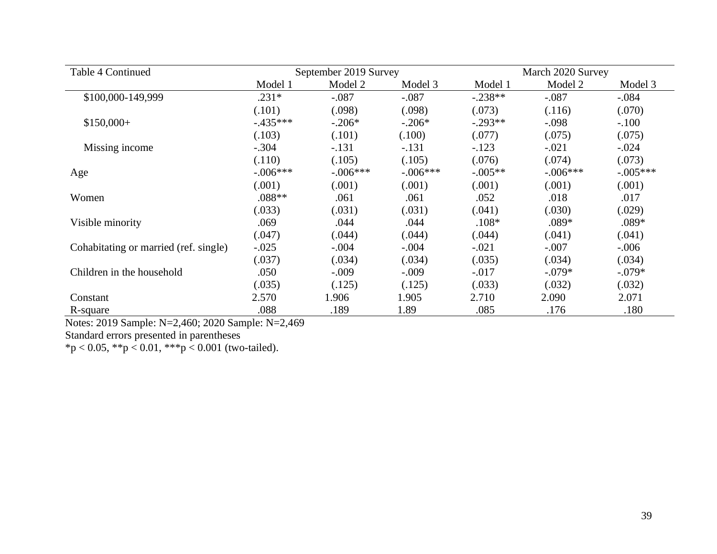| Table 4 Continued                     | September 2019 Survey |            |            | March 2020 Survey |            |            |
|---------------------------------------|-----------------------|------------|------------|-------------------|------------|------------|
|                                       | Model 1               | Model 2    | Model 3    | Model 1           | Model 2    | Model 3    |
| \$100,000-149,999                     | $.231*$               | $-.087$    | $-.087$    | $-.238**$         | $-.087$    | $-.084$    |
|                                       | (.101)                | (.098)     | (.098)     | (.073)            | (.116)     | (.070)     |
| $$150,000+$                           | $-0.435***$           | $-.206*$   | $-.206*$   | $-.293**$         | $-.098$    | $-.100$    |
|                                       | (.103)                | (.101)     | (.100)     | (.077)            | (.075)     | (.075)     |
| Missing income                        | $-.304$               | $-.131$    | $-.131$    | $-.123$           | $-.021$    | $-.024$    |
|                                       | (.110)                | (.105)     | (.105)     | (.076)            | (.074)     | (.073)     |
| Age                                   | $-.006***$            | $-.006***$ | $-.006***$ | $-.005**$         | $-.006***$ | $-.005***$ |
|                                       | (.001)                | (.001)     | (.001)     | (.001)            | (.001)     | (.001)     |
| Women                                 | $.088**$              | .061       | .061       | .052              | .018       | .017       |
|                                       | (.033)                | (.031)     | (.031)     | (.041)            | (.030)     | (.029)     |
| Visible minority                      | .069                  | .044       | .044       | $.108*$           | $.089*$    | $.089*$    |
|                                       | (.047)                | (.044)     | (.044)     | (.044)            | (.041)     | (.041)     |
| Cohabitating or married (ref. single) | $-.025$               | $-.004$    | $-.004$    | $-.021$           | $-.007$    | $-.006$    |
|                                       | (.037)                | (.034)     | (.034)     | (.035)            | (.034)     | (.034)     |
| Children in the household             | .050                  | $-.009$    | $-.009$    | $-.017$           | $-.079*$   | $-.079*$   |
|                                       | (.035)                | (.125)     | (.125)     | (.033)            | (.032)     | (.032)     |
| Constant                              | 2.570                 | 1.906      | 1.905      | 2.710             | 2.090      | 2.071      |
| R-square                              | .088                  | .189       | 1.89       | .085              | .176       | .180       |

Notes: 2019 Sample: N=2,460; 2020 Sample: N=2,469

Standard errors presented in parentheses

 $*p < 0.05$ ,  $**p < 0.01$ ,  $***p < 0.001$  (two-tailed).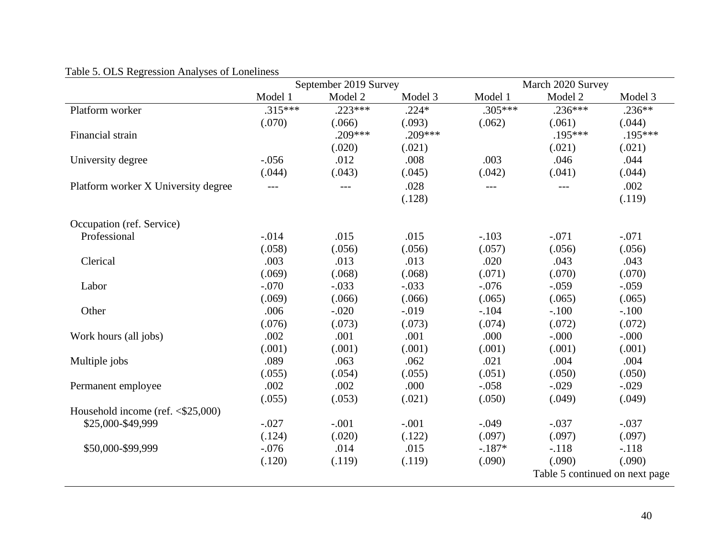|                                                    |           | September 2019 Survey |           |           | March 2020 Survey              |           |
|----------------------------------------------------|-----------|-----------------------|-----------|-----------|--------------------------------|-----------|
|                                                    | Model 1   | Model 2               | Model 3   | Model 1   | Model 2                        | Model 3   |
| Platform worker                                    | $.315***$ | $.223***$             | $.224*$   | $.305***$ | $.236***$                      | $.236**$  |
|                                                    | (.070)    | (.066)                | (.093)    | (.062)    | (.061)                         | (.044)    |
| Financial strain                                   |           | $.209***$             | $.209***$ |           | $.195***$                      | $.195***$ |
|                                                    |           | (.020)                | (.021)    |           | (.021)                         | (.021)    |
| University degree                                  | $-.056$   | .012                  | .008      | .003      | .046                           | .044      |
|                                                    | (.044)    | (.043)                | (.045)    | (.042)    | (.041)                         | (.044)    |
| Platform worker X University degree                | $---$     | $---$                 | .028      | $---$     |                                | .002      |
|                                                    |           |                       | (.128)    |           |                                | (.119)    |
|                                                    |           |                       |           |           |                                |           |
| Occupation (ref. Service)                          |           |                       |           |           |                                |           |
| Professional                                       | $-.014$   | .015                  | .015      | $-.103$   | $-.071$                        | $-.071$   |
|                                                    | (.058)    | (.056)                | (.056)    | (.057)    | (.056)                         | (.056)    |
| Clerical                                           | .003      | .013                  | .013      | .020      | .043                           | .043      |
|                                                    | (.069)    | (.068)                | (.068)    | (.071)    | (.070)                         | (.070)    |
| Labor                                              | $-.070$   | $-.033$               | $-.033$   | $-.076$   | $-.059$                        | $-.059$   |
|                                                    | (.069)    | (.066)                | (.066)    | (.065)    | (.065)                         | (.065)    |
| Other                                              | .006      | $-.020$               | $-0.019$  | $-.104$   | $-.100$                        | $-.100$   |
|                                                    | (.076)    | (.073)                | (.073)    | (.074)    | (.072)                         | (.072)    |
| Work hours (all jobs)                              | .002      | .001                  | .001      | .000      | $-0.000$                       | $-.000$   |
|                                                    | (.001)    | (.001)                | (.001)    | (.001)    | (.001)                         | (.001)    |
| Multiple jobs                                      | .089      | .063                  | .062      | .021      | .004                           | .004      |
|                                                    | (.055)    | (.054)                | (.055)    | (.051)    | (.050)                         | (.050)    |
| Permanent employee                                 | .002      | .002                  | .000      | $-.058$   | $-.029$                        | $-.029$   |
|                                                    | (.055)    | (.053)                | (.021)    | (.050)    | (.049)                         | (.049)    |
| Household income (ref. $\langle $25,000 \rangle$ ) |           |                       |           |           |                                |           |
| \$25,000-\$49,999                                  | $-.027$   | $-.001$               | $-.001$   | $-.049$   | $-.037$                        | $-.037$   |
|                                                    | (.124)    | (.020)                | (.122)    | (.097)    | (.097)                         | (.097)    |
| \$50,000-\$99,999                                  | $-.076$   | .014                  | .015      | $-.187*$  | $-.118$                        | $-.118$   |
|                                                    | (.120)    | (.119)                | (.119)    | (.090)    | (.090)                         | (.090)    |
|                                                    |           |                       |           |           | Table 5 continued on next page |           |
|                                                    |           |                       |           |           |                                |           |

# Table 5. OLS Regression Analyses of Loneliness